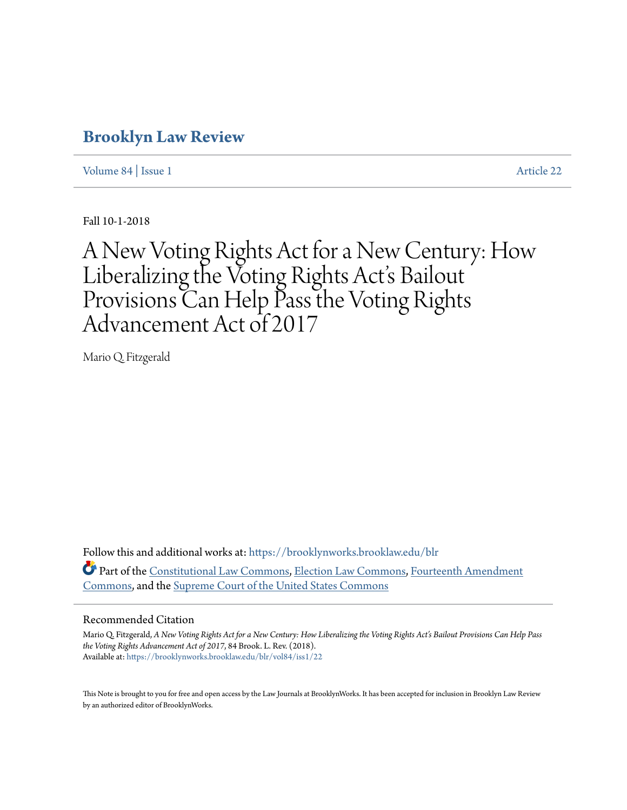## **[Brooklyn Law Review](https://brooklynworks.brooklaw.edu/blr?utm_source=brooklynworks.brooklaw.edu%2Fblr%2Fvol84%2Fiss1%2F22&utm_medium=PDF&utm_campaign=PDFCoverPages)**

[Volume 84](https://brooklynworks.brooklaw.edu/blr/vol84?utm_source=brooklynworks.brooklaw.edu%2Fblr%2Fvol84%2Fiss1%2F22&utm_medium=PDF&utm_campaign=PDFCoverPages) | [Issue 1](https://brooklynworks.brooklaw.edu/blr/vol84/iss1?utm_source=brooklynworks.brooklaw.edu%2Fblr%2Fvol84%2Fiss1%2F22&utm_medium=PDF&utm_campaign=PDFCoverPages) [Article 22](https://brooklynworks.brooklaw.edu/blr/vol84/iss1/22?utm_source=brooklynworks.brooklaw.edu%2Fblr%2Fvol84%2Fiss1%2F22&utm_medium=PDF&utm_campaign=PDFCoverPages)

Fall 10-1-2018

# A New Voting Rights Act for a New Century: How Liberalizing the Voting Rights Act's Bailout Provisions Can Help Pass the Voting Rights Advancement Act of 2017

Mario Q. Fitzgerald

Follow this and additional works at: [https://brooklynworks.brooklaw.edu/blr](https://brooklynworks.brooklaw.edu/blr?utm_source=brooklynworks.brooklaw.edu%2Fblr%2Fvol84%2Fiss1%2F22&utm_medium=PDF&utm_campaign=PDFCoverPages) Part of the [Constitutional Law Commons,](http://network.bepress.com/hgg/discipline/589?utm_source=brooklynworks.brooklaw.edu%2Fblr%2Fvol84%2Fiss1%2F22&utm_medium=PDF&utm_campaign=PDFCoverPages) [Election Law Commons](http://network.bepress.com/hgg/discipline/1121?utm_source=brooklynworks.brooklaw.edu%2Fblr%2Fvol84%2Fiss1%2F22&utm_medium=PDF&utm_campaign=PDFCoverPages), [Fourteenth Amendment](http://network.bepress.com/hgg/discipline/1116?utm_source=brooklynworks.brooklaw.edu%2Fblr%2Fvol84%2Fiss1%2F22&utm_medium=PDF&utm_campaign=PDFCoverPages) [Commons,](http://network.bepress.com/hgg/discipline/1116?utm_source=brooklynworks.brooklaw.edu%2Fblr%2Fvol84%2Fiss1%2F22&utm_medium=PDF&utm_campaign=PDFCoverPages) and the [Supreme Court of the United States Commons](http://network.bepress.com/hgg/discipline/1350?utm_source=brooklynworks.brooklaw.edu%2Fblr%2Fvol84%2Fiss1%2F22&utm_medium=PDF&utm_campaign=PDFCoverPages)

#### Recommended Citation

Mario Q. Fitzgerald, *A New Voting Rights Act for a New Century: How Liberalizing the Voting Rights Act's Bailout Provisions Can Help Pass the Voting Rights Advancement Act of 2017*, 84 Brook. L. Rev. (2018). Available at: [https://brooklynworks.brooklaw.edu/blr/vol84/iss1/22](https://brooklynworks.brooklaw.edu/blr/vol84/iss1/22?utm_source=brooklynworks.brooklaw.edu%2Fblr%2Fvol84%2Fiss1%2F22&utm_medium=PDF&utm_campaign=PDFCoverPages)

This Note is brought to you for free and open access by the Law Journals at BrooklynWorks. It has been accepted for inclusion in Brooklyn Law Review by an authorized editor of BrooklynWorks.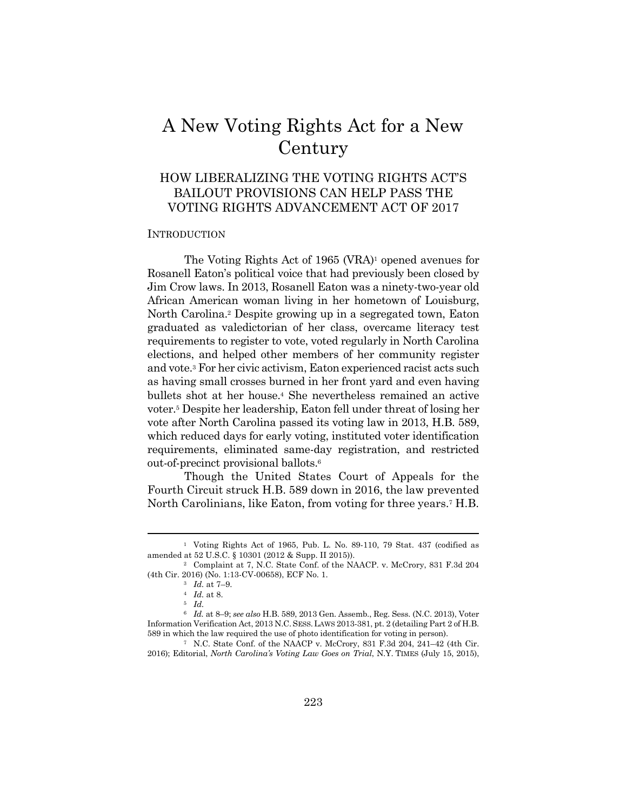# A New Voting Rights Act for a New Century

### HOW LIBERALIZING THE VOTING RIGHTS ACT'S BAILOUT PROVISIONS CAN HELP PASS THE VOTING RIGHTS ADVANCEMENT ACT OF 2017

#### **INTRODUCTION**

The Voting Rights Act of 1965 (VRA)<sup>1</sup> opened avenues for Rosanell Eaton's political voice that had previously been closed by Jim Crow laws. In 2013, Rosanell Eaton was a ninety-two-year old African American woman living in her hometown of Louisburg, North Carolina.2 Despite growing up in a segregated town, Eaton graduated as valedictorian of her class, overcame literacy test requirements to register to vote, voted regularly in North Carolina elections, and helped other members of her community register and vote.3 For her civic activism, Eaton experienced racist acts such as having small crosses burned in her front yard and even having bullets shot at her house.4 She nevertheless remained an active voter.5 Despite her leadership, Eaton fell under threat of losing her vote after North Carolina passed its voting law in 2013, H.B. 589, which reduced days for early voting, instituted voter identification requirements, eliminated same-day registration, and restricted out-of-precinct provisional ballots.6

Though the United States Court of Appeals for the Fourth Circuit struck H.B. 589 down in 2016, the law prevented North Carolinians, like Eaton, from voting for three years.7 H.B.

<sup>1</sup> Voting Rights Act of 1965, Pub. L. No. 89-110, 79 Stat. 437 (codified as amended at 52 U.S.C. § 10301 (2012 & Supp. II 2015)). 2 Complaint at 7, N.C. State Conf. of the NAACP. v. McCrory, 831 F.3d 204

<sup>(4</sup>th Cir. 2016) (No. 1:13-CV-00658), ECF No. 1. 3 *Id.* at 7–9. 4 *Id.* at 8. 5 *Id.*

<sup>6</sup> *Id.* at 8–9; *see also* H.B. 589, 2013 Gen. Assemb., Reg. Sess. (N.C. 2013), Voter Information Verification Act, 2013 N.C.SESS.LAWS 2013-381, pt. 2 (detailing Part 2 of H.B. 589 in which the law required the use of photo identification for voting in person). 7 N.C. State Conf. of the NAACP v. McCrory, 831 F.3d 204, 241–42 (4th Cir.

<sup>2016);</sup> Editorial, *North Carolina's Voting Law Goes on Trial*, N.Y. TIMES (July 15, 2015),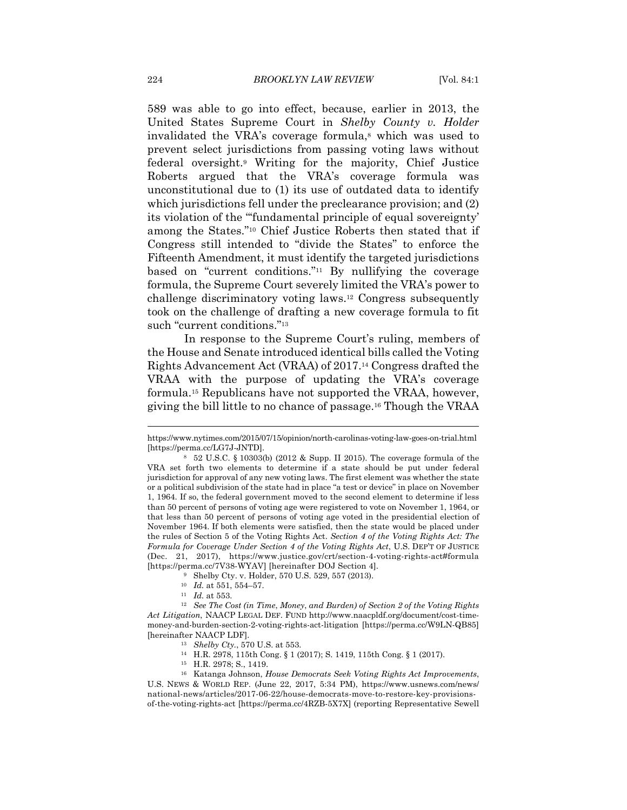589 was able to go into effect, because, earlier in 2013, the United States Supreme Court in *Shelby County v. Holder* invalidated the VRA's coverage formula,8 which was used to prevent select jurisdictions from passing voting laws without federal oversight.9 Writing for the majority, Chief Justice Roberts argued that the VRA's coverage formula was unconstitutional due to (1) its use of outdated data to identify which jurisdictions fell under the preclearance provision; and (2) its violation of the "'fundamental principle of equal sovereignty' among the States."10 Chief Justice Roberts then stated that if Congress still intended to "divide the States" to enforce the Fifteenth Amendment, it must identify the targeted jurisdictions based on "current conditions."11 By nullifying the coverage formula, the Supreme Court severely limited the VRA's power to challenge discriminatory voting laws.12 Congress subsequently took on the challenge of drafting a new coverage formula to fit such "current conditions."<sup>13</sup>

In response to the Supreme Court's ruling, members of the House and Senate introduced identical bills called the Voting Rights Advancement Act (VRAA) of 2017.14 Congress drafted the VRAA with the purpose of updating the VRA's coverage formula.15 Republicans have not supported the VRAA, however, giving the bill little to no chance of passage.16 Though the VRAA

https://www.nytimes.com/2015/07/15/opinion/north-carolinas-voting-law-goes-on-trial.html [https://perma.cc/LG7J-JNTD]. 8 52 U.S.C. § 10303(b) (2012 & Supp. II 2015). The coverage formula of the

VRA set forth two elements to determine if a state should be put under federal jurisdiction for approval of any new voting laws. The first element was whether the state or a political subdivision of the state had in place "a test or device" in place on November 1, 1964. If so, the federal government moved to the second element to determine if less than 50 percent of persons of voting age were registered to vote on November 1, 1964, or that less than 50 percent of persons of voting age voted in the presidential election of November 1964. If both elements were satisfied, then the state would be placed under the rules of Section 5 of the Voting Rights Act. *Section 4 of the Voting Rights Act: The Formula for Coverage Under Section 4 of the Voting Rights Act*, U.S. DEP'T OF JUSTICE (Dec. 21, 2017), https://www.justice.gov/crt/section-4-voting-rights-act#formula [https://perma.cc/7V38-WYAV] [hereinafter DOJ Section 4].<br><sup>9</sup> Shelby Cty. v. Holder, 570 U.S. 529, 557 (2013).<br><sup>10</sup> Id. at 551, 554–57.

<sup>&</sup>lt;sup>11</sup> Id. at 553.<br><sup>12</sup> See The Cost (in Time, Money, and Burden) of Section 2 of the Voting Rights *Act Litigation*, NAACP LEGAL DEF. FUND http://www.naacpldf.org/document/cost-timemoney-and-burden-section-2-voting-rights-act-litigation [https://perma.cc/W9LN-QB85] [hereinafter NAACP LDF]. 13 *Shelby Cty.*, 570 U.S. at 553. 14 H.R. 2978, 115th Cong. § 1 (2017); S. 1419, 115th Cong. § 1 (2017).

<sup>15</sup> H.R. 2978; S., 1419.

<sup>16</sup> Katanga Johnson, *House Democrats Seek Voting Rights Act Improvements*, U.S. NEWS & WORLD REP. (June 22, 2017, 5:34 PM), https://www.usnews.com/news/ national-news/articles/2017-06-22/house-democrats-move-to-restore-key-provisionsof-the-voting-rights-act [https://perma.cc/4RZB-5X7X] (reporting Representative Sewell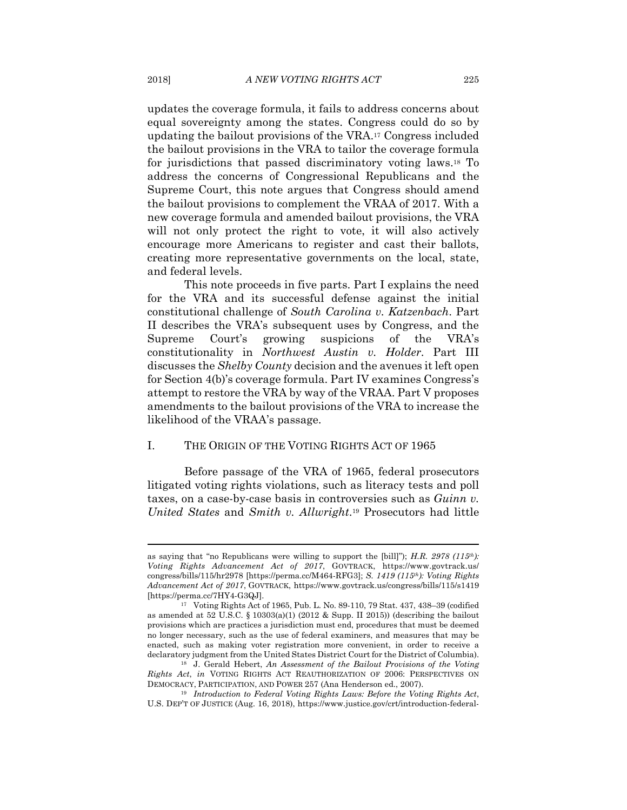updates the coverage formula, it fails to address concerns about equal sovereignty among the states. Congress could do so by updating the bailout provisions of the VRA.17 Congress included the bailout provisions in the VRA to tailor the coverage formula for jurisdictions that passed discriminatory voting laws.18 To address the concerns of Congressional Republicans and the Supreme Court, this note argues that Congress should amend the bailout provisions to complement the VRAA of 2017. With a new coverage formula and amended bailout provisions, the VRA will not only protect the right to vote, it will also actively encourage more Americans to register and cast their ballots, creating more representative governments on the local, state, and federal levels.

This note proceeds in five parts. Part I explains the need for the VRA and its successful defense against the initial constitutional challenge of *South Carolina v. Katzenbach*. Part II describes the VRA's subsequent uses by Congress, and the Supreme Court's growing suspicions of the VRA's constitutionality in *Northwest Austin v. Holder*. Part III discusses the *Shelby County* decision and the avenues it left open for Section 4(b)'s coverage formula. Part IV examines Congress's attempt to restore the VRA by way of the VRAA. Part V proposes amendments to the bailout provisions of the VRA to increase the likelihood of the VRAA's passage.

#### I. THE ORIGIN OF THE VOTING RIGHTS ACT OF 1965

Before passage of the VRA of 1965, federal prosecutors litigated voting rights violations, such as literacy tests and poll taxes, on a case-by-case basis in controversies such as *Guinn v. United States* and *Smith v. Allwright*.19 Prosecutors had little

as saying that "no Republicans were willing to support the [bill]"); *H.R. 2978 (115th): Voting Rights Advancement Act of 2017*, GOVTRACK, https://www.govtrack.us/ congress/bills/115/hr2978 [https://perma.cc/M464-RFG3]; *S. 1419 (115th): Voting Rights Advancement Act of 2017*, GOVTRACK, https://www.govtrack.us/congress/bills/115/s1419 [https://perma.cc/7HY4-G3QJ]. 17 Voting Rights Act of 1965, Pub. L. No. 89-110, 79 Stat. 437, 438–39 (codified

as amended at 52 U.S.C. § 10303(a)(1) (2012 & Supp. II 2015)) (describing the bailout provisions which are practices a jurisdiction must end, procedures that must be deemed no longer necessary, such as the use of federal examiners, and measures that may be enacted, such as making voter registration more convenient, in order to receive a declaratory judgment from the United States District Court for the District of Columbia). 18 J. Gerald Hebert, *An Assessment of the Bailout Provisions of the Voting* 

*Rights Act*, *in* VOTING RIGHTS ACT REAUTHORIZATION OF 2006: PERSPECTIVES ON DEMOCRACY, PARTICIPATION, AND POWER 257 (Ana Henderson ed., 2007). 19 *Introduction to Federal Voting Rights Laws: Before the Voting Rights Act*,

U.S. DEP'T OF JUSTICE (Aug. 16, 2018), https://www.justice.gov/crt/introduction-federal-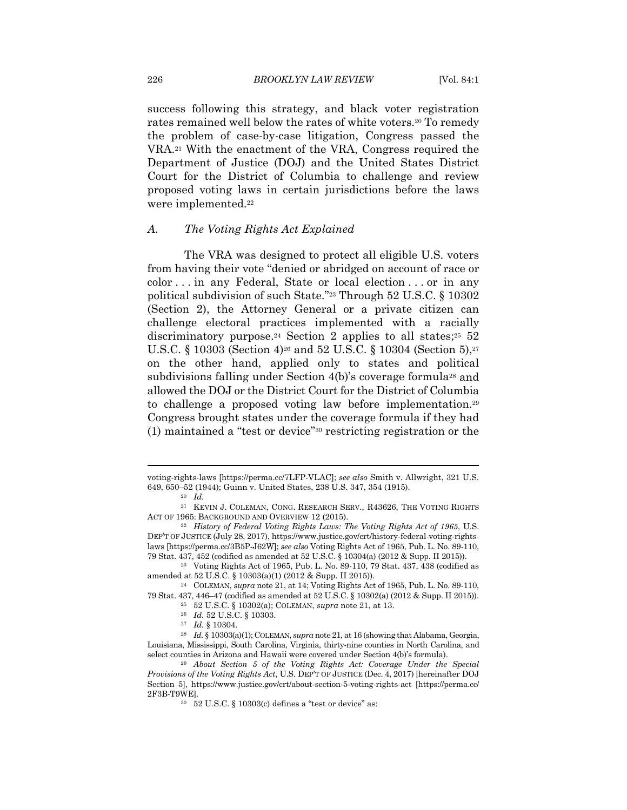success following this strategy, and black voter registration rates remained well below the rates of white voters.<sup>20</sup> To remedy the problem of case-by-case litigation, Congress passed the VRA.21 With the enactment of the VRA, Congress required the Department of Justice (DOJ) and the United States District Court for the District of Columbia to challenge and review proposed voting laws in certain jurisdictions before the laws were implemented.<sup>22</sup>

#### *A. The Voting Rights Act Explained*

The VRA was designed to protect all eligible U.S. voters from having their vote "denied or abridged on account of race or color . . . in any Federal, State or local election . . . or in any political subdivision of such State."23 Through 52 U.S.C. § 10302 (Section 2), the Attorney General or a private citizen can challenge electoral practices implemented with a racially discriminatory purpose.<sup>24</sup> Section 2 applies to all states;<sup>25</sup> 52 U.S.C. § 10303 (Section 4)<sup>26</sup> and 52 U.S.C. § 10304 (Section 5),<sup>27</sup> on the other hand, applied only to states and political subdivisions falling under Section 4(b)'s coverage formula<sup>28</sup> and allowed the DOJ or the District Court for the District of Columbia to challenge a proposed voting law before implementation.29 Congress brought states under the coverage formula if they had (1) maintained a "test or device"30 restricting registration or the

voting-rights-laws [https://perma.cc/7LFP-VLAC]; *see also* Smith v. Allwright, 321 U.S. 649, 650–52 (1944); Guinn v. United States, 238 U.S. 347, 354 (1915). 20 *Id.*

<sup>21</sup> KEVIN J. COLEMAN, CONG. RESEARCH SERV., R43626, THE VOTING RIGHTS ACT OF 1965: BACKGROUND AND OVERVIEW 12 (2015). 22 *History of Federal Voting Rights Laws: The Voting Rights Act of 1965*, U.S.

DEP'T OF JUSTICE (July 28, 2017), https://www.justice.gov/crt/history-federal-voting-rightslaws [https://perma.cc/3B5P-J62W]; *see also* Voting Rights Act of 1965, Pub. L. No. 89-110,

<sup>79</sup> Stat. 437, 452 (codified as amended at 52 U.S.C. § 10304(a) (2012 & Supp. II 2015)). 23 Voting Rights Act of 1965, Pub. L. No. 89-110, 79 Stat. 437, 438 (codified as amended at 52 U.S.C. § 10303(a)(1) (2012 & Supp. II 2015)). 24 COLEMAN, *supra* note 21, at 14; Voting Rights Act of 1965, Pub. L. No. 89-110,

<sup>79</sup> Stat. 437, 446–47 (codified as amended at 52 U.S.C. § 10302(a) (2012 & Supp. II 2015)).<br><sup>25</sup> 52 U.S.C. § 10302(a); COLEMAN, *supra* note 21, at 13.<br><sup>26</sup> *Id.* 52 U.S.C. § 10303.<br><sup>27</sup> *Id.* § 10303(a)(1); COLEMAN, *supr* 

Louisiana, Mississippi, South Carolina, Virginia, thirty-nine counties in North Carolina, and select counties in Arizona and Hawaii were covered under Section 4(b)'s formula). 29 *About Section 5 of the Voting Rights Act: Coverage Under the Special* 

*Provisions of the Voting Rights Act*, U.S. DEP'T OF JUSTICE (Dec. 4, 2017) [hereinafter DOJ Section 5], https://www.justice.gov/crt/about-section-5-voting-rights-act [https://perma.cc/ 2F3B-T9WE].<br> $30\quad 52$  U.S.C. § 10303(c) defines a "test or device" as: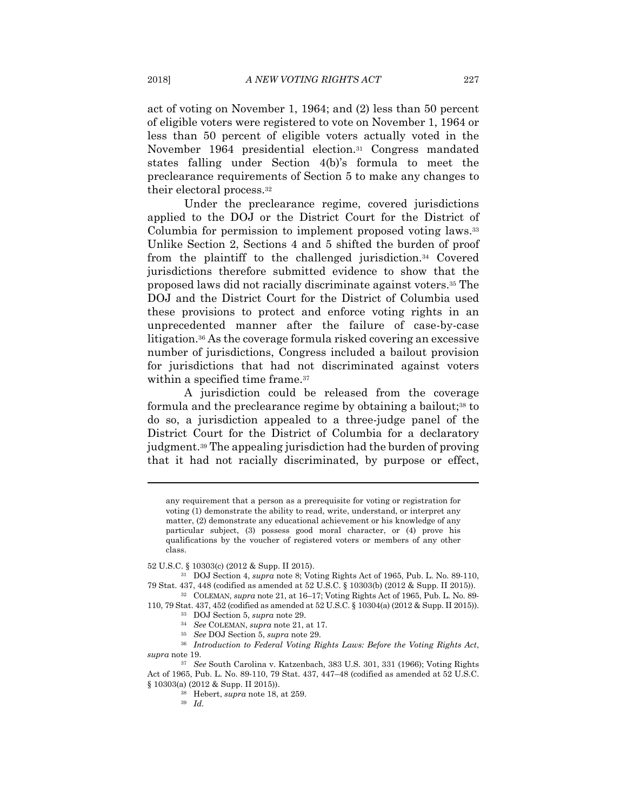act of voting on November 1, 1964; and (2) less than 50 percent of eligible voters were registered to vote on November 1, 1964 or less than 50 percent of eligible voters actually voted in the November 1964 presidential election.31 Congress mandated states falling under Section 4(b)'s formula to meet the preclearance requirements of Section 5 to make any changes to their electoral process.32

Under the preclearance regime, covered jurisdictions applied to the DOJ or the District Court for the District of Columbia for permission to implement proposed voting laws.33 Unlike Section 2, Sections 4 and 5 shifted the burden of proof from the plaintiff to the challenged jurisdiction.34 Covered jurisdictions therefore submitted evidence to show that the proposed laws did not racially discriminate against voters.35 The DOJ and the District Court for the District of Columbia used these provisions to protect and enforce voting rights in an unprecedented manner after the failure of case-by-case litigation.36 As the coverage formula risked covering an excessive number of jurisdictions, Congress included a bailout provision for jurisdictions that had not discriminated against voters within a specified time frame.<sup>37</sup>

A jurisdiction could be released from the coverage formula and the preclearance regime by obtaining a bailout;<sup>38</sup> to do so, a jurisdiction appealed to a three-judge panel of the District Court for the District of Columbia for a declaratory judgment.39 The appealing jurisdiction had the burden of proving that it had not racially discriminated, by purpose or effect,

any requirement that a person as a prerequisite for voting or registration for voting (1) demonstrate the ability to read, write, understand, or interpret any matter, (2) demonstrate any educational achievement or his knowledge of any particular subject, (3) possess good moral character, or (4) prove his qualifications by the voucher of registered voters or members of any other class.

52 U.S.C. § 10303(c) (2012 & Supp. II 2015). 31 DOJ Section 4, *supra* note 8; Voting Rights Act of 1965, Pub. L. No. 89-110, 79 Stat. 437, 448 (codified as amended at 52 U.S.C. § 10303(b) (2012 & Supp. II 2015)). 32 COLEMAN, *supra* note 21, at 16–17; Voting Rights Act of 1965, Pub. L. No. 89-

110, 79 Stat. 437, 452 (codified as amended at 52 U.S.C. § 10304(a) (2012 & Supp. II 2015)).<br><sup>33</sup> DOJ Section 5, *supra* note 29.<br><sup>34</sup> See COLEMAN, *supra* note 21, at 17.<br><sup>35</sup> See DOJ Section 5, *supra* note 29.<br><sup>36</sup> Int

*supra* note 19. 37 *See* South Carolina v. Katzenbach, 383 U.S. 301, 331 (1966); Voting Rights

Act of 1965, Pub. L. No. 89-110, 79 Stat. 437, 447–48 (codified as amended at 52 U.S.C. § 10303(a) (2012 & Supp. II 2015)). 38 Hebert, *supra* note 18, at 259. 39 *Id.*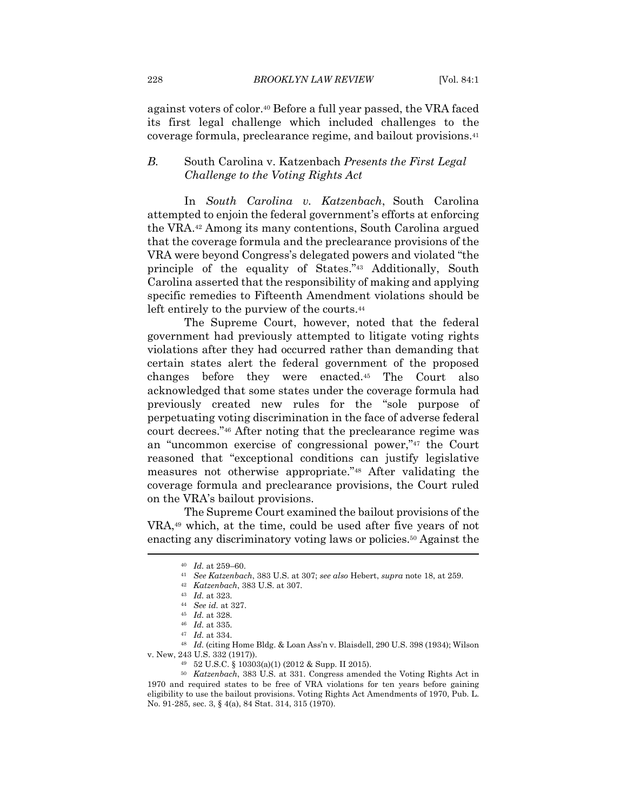against voters of color.40 Before a full year passed, the VRA faced its first legal challenge which included challenges to the coverage formula, preclearance regime, and bailout provisions.41

#### *B.* South Carolina v. Katzenbach *Presents the First Legal Challenge to the Voting Rights Act*

In *South Carolina v. Katzenbach*, South Carolina attempted to enjoin the federal government's efforts at enforcing the VRA.42 Among its many contentions, South Carolina argued that the coverage formula and the preclearance provisions of the VRA were beyond Congress's delegated powers and violated "the principle of the equality of States."43 Additionally, South Carolina asserted that the responsibility of making and applying specific remedies to Fifteenth Amendment violations should be left entirely to the purview of the courts.<sup>44</sup>

The Supreme Court, however, noted that the federal government had previously attempted to litigate voting rights violations after they had occurred rather than demanding that certain states alert the federal government of the proposed changes before they were enacted.45 The Court also acknowledged that some states under the coverage formula had previously created new rules for the "sole purpose of perpetuating voting discrimination in the face of adverse federal court decrees."46 After noting that the preclearance regime was an "uncommon exercise of congressional power,"47 the Court reasoned that "exceptional conditions can justify legislative measures not otherwise appropriate."48 After validating the coverage formula and preclearance provisions, the Court ruled on the VRA's bailout provisions.

The Supreme Court examined the bailout provisions of the VRA,49 which, at the time, could be used after five years of not enacting any discriminatory voting laws or policies.<sup>50</sup> Against the

<sup>&</sup>lt;sup>40</sup> Id. at 259–60.<br>
<sup>41</sup> See Katzenbach, 383 U.S. at 307; see also Hebert, supra note 18, at 259.<br>
<sup>42</sup> Katzenbach, 383 U.S. at 307.<br>
<sup>43</sup> Id. at 323.<br>
<sup>44</sup> See id. at 327.<br>
<sup>45</sup> Id. at 328.<br>
<sup>46</sup> Id. at 335.<br>
<sup>47</sup> Id. a v. New, 243 U.S. 332 (1917)). 49 52 U.S.C. § 10303(a)(1) (2012 & Supp. II 2015).

<sup>50</sup> *Katzenbach*, 383 U.S. at 331. Congress amended the Voting Rights Act in 1970 and required states to be free of VRA violations for ten years before gaining eligibility to use the bailout provisions. Voting Rights Act Amendments of 1970, Pub. L. No. 91-285, sec. 3, § 4(a), 84 Stat. 314, 315 (1970).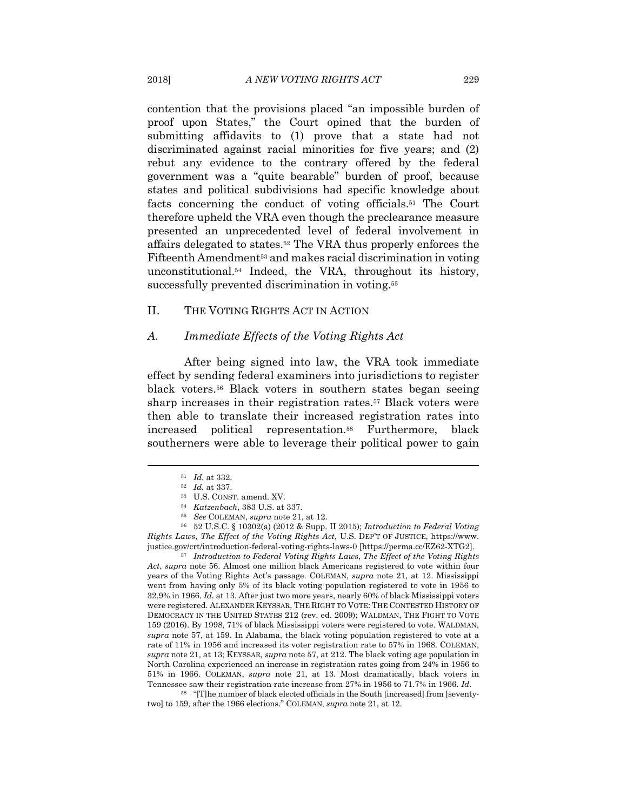contention that the provisions placed "an impossible burden of proof upon States," the Court opined that the burden of submitting affidavits to (1) prove that a state had not discriminated against racial minorities for five years; and (2) rebut any evidence to the contrary offered by the federal government was a "quite bearable" burden of proof, because states and political subdivisions had specific knowledge about facts concerning the conduct of voting officials.51 The Court therefore upheld the VRA even though the preclearance measure presented an unprecedented level of federal involvement in affairs delegated to states.52 The VRA thus properly enforces the Fifteenth Amendment<sup>53</sup> and makes racial discrimination in voting unconstitutional.54 Indeed, the VRA, throughout its history, successfully prevented discrimination in voting.<sup>55</sup>

#### II. THE VOTING RIGHTS ACT IN ACTION

#### *A. Immediate Effects of the Voting Rights Act*

After being signed into law, the VRA took immediate effect by sending federal examiners into jurisdictions to register black voters.56 Black voters in southern states began seeing sharp increases in their registration rates.57 Black voters were then able to translate their increased registration rates into increased political representation.58 Furthermore, black southerners were able to leverage their political power to gain

<sup>51</sup> Id. at 332.<br>
<sup>52</sup> Id. at 337.<br>
<sup>53</sup> U.S. CONST. amend. XV.<br>
<sup>54</sup> Katzenbach, 383 U.S. at 337.<br>
<sup>55</sup> See COLEMAN, supra note 21, at 12.<br>
<sup>56</sup> 52 U.S.C. § 10302(a) (2012 & Supp. II 2015); *Introduction to Federal Votin Rights Laws*, *The Effect of the Voting Rights Act*, U.S. DEP'T OF JUSTICE, https://www. justice.gov/crt/introduction-federal-voting-rights-laws-0 [https://perma.cc/EZ62-XTG2]. 57 *Introduction to Federal Voting Rights Laws*, *The Effect of the Voting Rights* 

*Act*, *supra* note 56. Almost one million black Americans registered to vote within four years of the Voting Rights Act's passage. COLEMAN, *supra* note 21, at 12. Mississippi went from having only 5% of its black voting population registered to vote in 1956 to 32.9% in 1966. *Id.* at 13. After just two more years, nearly 60% of black Mississippi voters were registered. ALEXANDER KEYSSAR, THE RIGHT TO VOTE: THE CONTESTED HISTORY OF DEMOCRACY IN THE UNITED STATES 212 (rev. ed. 2009); WALDMAN, THE FIGHT TO VOTE 159 (2016). By 1998, 71% of black Mississippi voters were registered to vote. WALDMAN, *supra* note 57, at 159. In Alabama, the black voting population registered to vote at a rate of 11% in 1956 and increased its voter registration rate to 57% in 1968. COLEMAN, *supra* note 21, at 13; KEYSSAR, *supra* note 57, at 212. The black voting age population in North Carolina experienced an increase in registration rates going from 24% in 1956 to 51% in 1966. COLEMAN, *supra* note 21, at 13. Most dramatically, black voters in Tennessee saw their registration rate increase from 27% in 1956 to 71.7% in 1966. *Id.*

58 "[T]he number of black elected officials in the South [increased] from [seventytwo] to 159, after the 1966 elections." COLEMAN, *supra* note 21, at 12.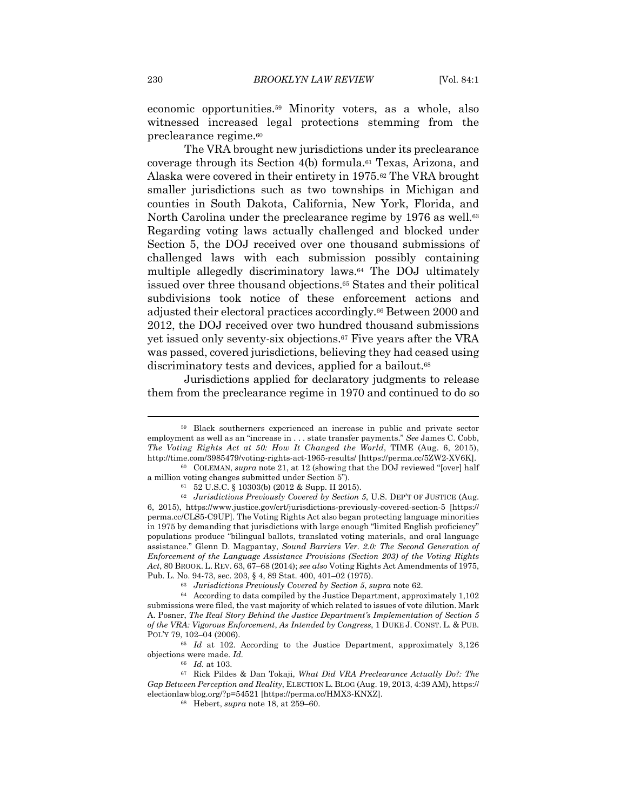economic opportunities.59 Minority voters, as a whole, also witnessed increased legal protections stemming from the preclearance regime.60

The VRA brought new jurisdictions under its preclearance coverage through its Section 4(b) formula.61 Texas, Arizona, and Alaska were covered in their entirety in 1975.62 The VRA brought smaller jurisdictions such as two townships in Michigan and counties in South Dakota, California, New York, Florida, and North Carolina under the preclearance regime by 1976 as well.<sup>63</sup> Regarding voting laws actually challenged and blocked under Section 5, the DOJ received over one thousand submissions of challenged laws with each submission possibly containing multiple allegedly discriminatory laws.64 The DOJ ultimately issued over three thousand objections.65 States and their political subdivisions took notice of these enforcement actions and adjusted their electoral practices accordingly.66 Between 2000 and 2012, the DOJ received over two hundred thousand submissions yet issued only seventy-six objections.67 Five years after the VRA was passed, covered jurisdictions, believing they had ceased using discriminatory tests and devices, applied for a bailout.<sup>68</sup>

Jurisdictions applied for declaratory judgments to release them from the preclearance regime in 1970 and continued to do so

<sup>59</sup> Black southerners experienced an increase in public and private sector employment as well as an "increase in . . . state transfer payments." *See* James C. Cobb, *The Voting Rights Act at 50: How It Changed the World*, TIME (Aug. 6, 2015), http://time.com/3985479/voting-rights-act-1965-results/ [https://perma.cc/5ZW2-XV6K]. 60 COLEMAN, *supra* note 21, at 12 (showing that the DOJ reviewed "[over] half

a million voting changes submitted under Section 5").<br>61  $\,$  62 U.S.C. § 10303(b) (2012 & Supp. II 2015).

<sup>62</sup> *Jurisdictions Previously Covered by Section 5*, U.S. DEP'T OF JUSTICE (Aug. 6, 2015), https://www.justice.gov/crt/jurisdictions-previously-covered-section-5 [https:// perma.cc/CLS5-C9UP]. The Voting Rights Act also began protecting language minorities in 1975 by demanding that jurisdictions with large enough "limited English proficiency" populations produce "bilingual ballots, translated voting materials, and oral language assistance." Glenn D. Magpantay, *Sound Barriers Ver. 2.0: The Second Generation of Enforcement of the Language Assistance Provisions (Section 203) of the Voting Rights Act*, 80 BROOK. L. REV. 63, 67–68 (2014); *see also* Voting Rights Act Amendments of 1975,

Pub. L. No. 94-73, sec. 203, § 4, 89 Stat. 400, 401–02 (1975). 63 *Jurisdictions Previously Covered by Section 5*, *supra* note 62. 64 According to data compiled by the Justice Department, approximately 1,102 submissions were filed, the vast majority of which related to issues of vote dilution. Mark A. Posner, *The Real Story Behind the Justice Department's Implementation of Section 5 of the VRA: Vigorous Enforcement*, *As Intended by Congress*, 1 DUKE J. CONST. L. & PUB. POL'Y 79, 102–04 (2006). 65 *Id* at 102. According to the Justice Department, approximately 3,126

objections were made. *Id.*

<sup>66</sup> *Id.* at 103. 67 Rick Pildes & Dan Tokaji, *What Did VRA Preclearance Actually Do?: The Gap Between Perception and Reality*, ELECTION L. BLOG (Aug. 19, 2013, 4:39 AM), https:// electionlawblog.org/?p=54521 [https://perma.cc/HMX3-KNXZ]. 68 Hebert, *supra* note 18, at 259–60.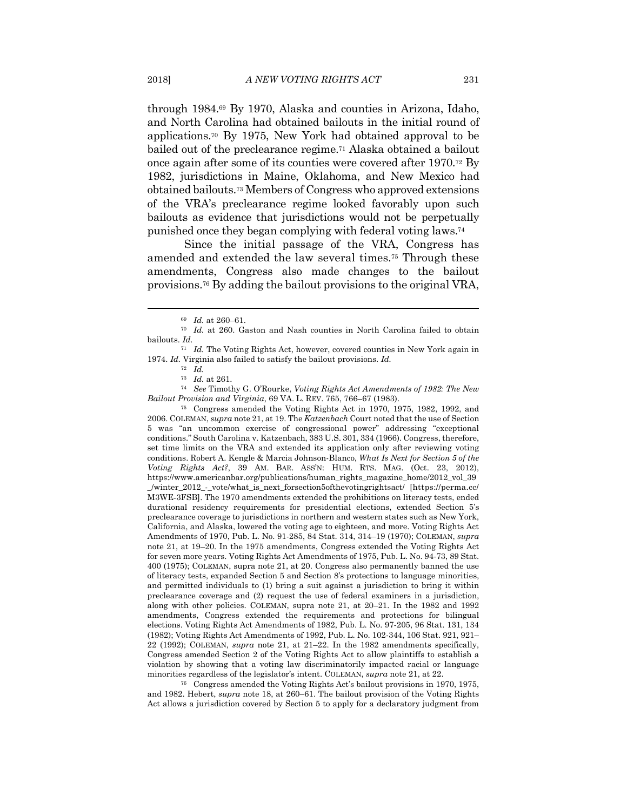through 1984.69 By 1970, Alaska and counties in Arizona, Idaho, and North Carolina had obtained bailouts in the initial round of applications.70 By 1975, New York had obtained approval to be bailed out of the preclearance regime.71 Alaska obtained a bailout once again after some of its counties were covered after 1970.72 By 1982, jurisdictions in Maine, Oklahoma, and New Mexico had obtained bailouts.73 Members of Congress who approved extensions of the VRA's preclearance regime looked favorably upon such bailouts as evidence that jurisdictions would not be perpetually punished once they began complying with federal voting laws.74

Since the initial passage of the VRA, Congress has amended and extended the law several times.75 Through these amendments, Congress also made changes to the bailout provisions.76 By adding the bailout provisions to the original VRA,

<sup>74</sup> See Timothy G. O'Rourke, *Voting Rights Act Amendments of 1982: The New* 

*Bailout Provision and Virginia*, 69 VA. L. REV. 765, 766–67 (1983).<br><sup>75</sup> Congress amended the Voting Rights Act in 1970, 1975, 1982, 1992, and 2006. COLEMAN, *supra* note 21, at 19. The *Katzenbach* Court noted that the use of Section 5 was "an uncommon exercise of congressional power" addressing "exceptional conditions." South Carolina v. Katzenbach, 383 U.S. 301, 334 (1966). Congress, therefore, set time limits on the VRA and extended its application only after reviewing voting conditions. Robert A. Kengle & Marcia Johnson-Blanco, *What Is Next for Section 5 of the Voting Rights Act?*, 39 AM. BAR. ASS'N: HUM. RTS. MAG. (Oct. 23, 2012), https://www.americanbar.org/publications/human\_rights\_magazine\_home/2012\_vol\_39 \_/winter\_2012\_-\_vote/what\_is\_next\_forsection5ofthevotingrightsact/ [https://perma.cc/ M3WE-3FSB]. The 1970 amendments extended the prohibitions on literacy tests, ended durational residency requirements for presidential elections, extended Section 5's preclearance coverage to jurisdictions in northern and western states such as New York, California, and Alaska, lowered the voting age to eighteen, and more. Voting Rights Act Amendments of 1970, Pub. L. No. 91-285, 84 Stat. 314, 314–19 (1970); COLEMAN, *supra*  note 21, at 19–20. In the 1975 amendments, Congress extended the Voting Rights Act for seven more years. Voting Rights Act Amendments of 1975, Pub. L. No. 94-73, 89 Stat. 400 (1975); COLEMAN, supra note 21, at 20. Congress also permanently banned the use of literacy tests, expanded Section 5 and Section 8's protections to language minorities, and permitted individuals to (1) bring a suit against a jurisdiction to bring it within preclearance coverage and (2) request the use of federal examiners in a jurisdiction, along with other policies. COLEMAN, supra note 21, at 20–21. In the 1982 and 1992 amendments, Congress extended the requirements and protections for bilingual elections. Voting Rights Act Amendments of 1982, Pub. L. No. 97-205, 96 Stat. 131, 134 (1982); Voting Rights Act Amendments of 1992, Pub. L. No. 102-344, 106 Stat. 921, 921– 22 (1992); COLEMAN, *supra* note 21, at 21–22. In the 1982 amendments specifically, Congress amended Section 2 of the Voting Rights Act to allow plaintiffs to establish a violation by showing that a voting law discriminatorily impacted racial or language minorities regardless of the legislator's intent. COLEMAN, *supra* note 21, at 22.<br><sup>76</sup> Congress amended the Voting Rights Act's bailout provisions in 1970, 1975,

and 1982. Hebert, *supra* note 18, at 260–61. The bailout provision of the Voting Rights Act allows a jurisdiction covered by Section 5 to apply for a declaratory judgment from

<sup>69</sup> *Id.* at 260–61. 70 *Id.* at 260. Gaston and Nash counties in North Carolina failed to obtain bailouts. *Id.*

<sup>71</sup> *Id.* The Voting Rights Act, however, covered counties in New York again in 1974. *Id.* Virginia also failed to satisfy the bailout provisions. *Id.*

 $\frac{72}{73}$  *Id.* at 261.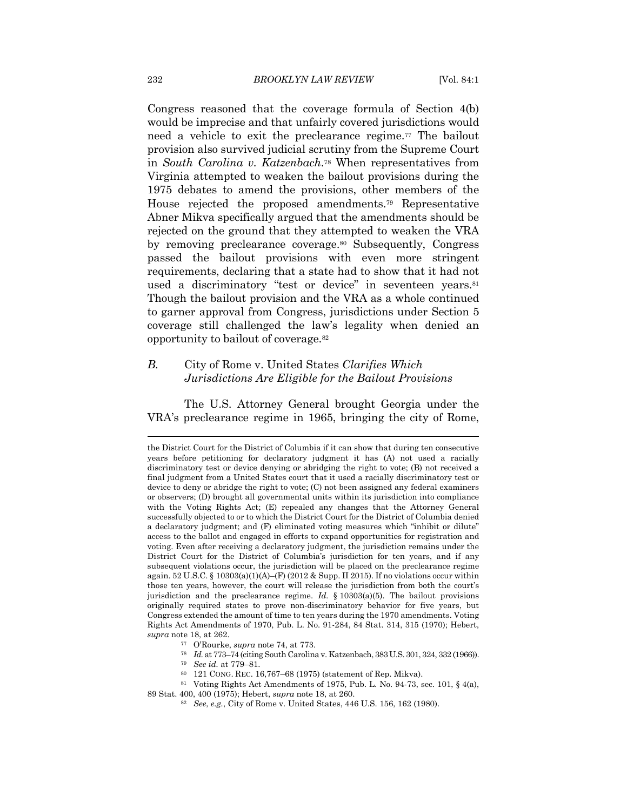Congress reasoned that the coverage formula of Section 4(b) would be imprecise and that unfairly covered jurisdictions would need a vehicle to exit the preclearance regime.77 The bailout provision also survived judicial scrutiny from the Supreme Court in *South Carolina v. Katzenbach*.78 When representatives from Virginia attempted to weaken the bailout provisions during the 1975 debates to amend the provisions, other members of the House rejected the proposed amendments.79 Representative Abner Mikva specifically argued that the amendments should be rejected on the ground that they attempted to weaken the VRA by removing preclearance coverage.80 Subsequently, Congress passed the bailout provisions with even more stringent requirements, declaring that a state had to show that it had not used a discriminatory "test or device" in seventeen years.<sup>81</sup> Though the bailout provision and the VRA as a whole continued to garner approval from Congress, jurisdictions under Section 5 coverage still challenged the law's legality when denied an opportunity to bailout of coverage.82

#### *B.* City of Rome v. United States *Clarifies Which Jurisdictions Are Eligible for the Bailout Provisions*

The U.S. Attorney General brought Georgia under the VRA's preclearance regime in 1965, bringing the city of Rome,

89 Stat. 400, 400 (1975); Hebert, *supra* note 18, at 260. 82 *See*, *e.g.*, City of Rome v. United States, 446 U.S. 156, 162 (1980).

the District Court for the District of Columbia if it can show that during ten consecutive years before petitioning for declaratory judgment it has (A) not used a racially discriminatory test or device denying or abridging the right to vote; (B) not received a final judgment from a United States court that it used a racially discriminatory test or device to deny or abridge the right to vote; (C) not been assigned any federal examiners or observers; (D) brought all governmental units within its jurisdiction into compliance with the Voting Rights Act; (E) repealed any changes that the Attorney General successfully objected to or to which the District Court for the District of Columbia denied a declaratory judgment; and (F) eliminated voting measures which "inhibit or dilute" access to the ballot and engaged in efforts to expand opportunities for registration and voting. Even after receiving a declaratory judgment, the jurisdiction remains under the District Court for the District of Columbia's jurisdiction for ten years, and if any subsequent violations occur, the jurisdiction will be placed on the preclearance regime again.  $52 \text{ U.S.C.}$  §  $10303(a)(1)(A)$ –(F) (2012 & Supp. II 2015). If no violations occur within those ten years, however, the court will release the jurisdiction from both the court's jurisdiction and the preclearance regime. *Id.* § 10303(a)(5). The bailout provisions originally required states to prove non-discriminatory behavior for five years, but Congress extended the amount of time to ten years during the 1970 amendments. Voting Rights Act Amendments of 1970, Pub. L. No. 91-284, 84 Stat. 314, 315 (1970); Hebert,  $\begin{tabular}{ll} \it{supra} \; \text{note 18, at 262.} \\ \it ^{77} & \rm O'Rourke, \it{supra} \; \text{note 74, at 773.} \\ \it ^{78} & \it Id.\; \text{at} \; 773-74 \; (\text{citing South Carolina v. Katzenbach, 383 U.S. 301, 324, 332 \; (1966)). \\ \it ^{79} & \it See \; id.\; \text{at} \; 779-81. \\ \it ^{80} & \it 121 \; \text{CONG. REC. 16,767-68 \; (1975) \$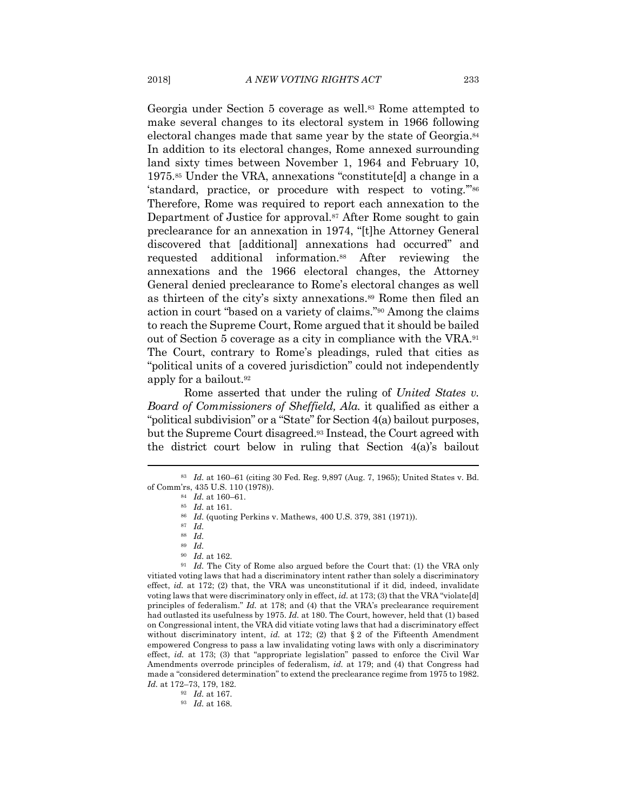Georgia under Section 5 coverage as well.83 Rome attempted to make several changes to its electoral system in 1966 following electoral changes made that same year by the state of Georgia.84 In addition to its electoral changes, Rome annexed surrounding land sixty times between November 1, 1964 and February 10, 1975.85 Under the VRA, annexations "constitute[d] a change in a 'standard, practice, or procedure with respect to voting.'"86 Therefore, Rome was required to report each annexation to the Department of Justice for approval.<sup>87</sup> After Rome sought to gain preclearance for an annexation in 1974, "[t]he Attorney General discovered that [additional] annexations had occurred" and requested additional information.88 After reviewing the annexations and the 1966 electoral changes, the Attorney General denied preclearance to Rome's electoral changes as well as thirteen of the city's sixty annexations.<sup>89</sup> Rome then filed an action in court "based on a variety of claims."90 Among the claims to reach the Supreme Court, Rome argued that it should be bailed out of Section 5 coverage as a city in compliance with the VRA.91 The Court, contrary to Rome's pleadings, ruled that cities as "political units of a covered jurisdiction" could not independently apply for a bailout.92

Rome asserted that under the ruling of *United States v. Board of Commissioners of Sheffield, Ala.* it qualified as either a "political subdivision" or a "State" for Section 4(a) bailout purposes, but the Supreme Court disagreed.93 Instead, the Court agreed with the district court below in ruling that Section 4(a)'s bailout

made a "considered determination" to extend the preclearance regime from 1975 to 1982. *Id.* at 172–73, 179, 182. 92 *Id.* at 167. 93 *Id.* at 168.

<sup>83</sup> *Id.* at 160–61 (citing 30 Fed. Reg. 9,897 (Aug. 7, 1965); United States v. Bd. of Comm'rs, 435 U.S. 110 (1978)). <sup>84</sup> *Id.* at 160–61. <br><sup>85</sup> *Id.* at 161. <br><sup>86</sup> *Id.* (quoting Perkins v. Mathews, 400 U.S. 379, 381 (1971)). <sup>87</sup> *Id.* 

<sup>88</sup> *Id.* 

<sup>89</sup> *Id.*

 $^{90}$   $\,$   $Id.$  at 162.  $^{91}$   $\,$   $Id.$  The City of Rome also argued before the Court that: (1) the VRA only vitiated voting laws that had a discriminatory intent rather than solely a discriminatory effect, *id.* at 172; (2) that, the VRA was unconstitutional if it did, indeed, invalidate voting laws that were discriminatory only in effect, *id.* at 173; (3) that the VRA "violate[d] principles of federalism." *Id.* at 178; and (4) that the VRA's preclearance requirement had outlasted its usefulness by 1975. *Id.* at 180. The Court, however, held that (1) based on Congressional intent, the VRA did vitiate voting laws that had a discriminatory effect without discriminatory intent, *id.* at 172; (2) that  $\S 2$  of the Fifteenth Amendment empowered Congress to pass a law invalidating voting laws with only a discriminatory effect, *id.* at 173; (3) that "appropriate legislation" passed to enforce the Civil War Amendments overrode principles of federalism, *id.* at 179; and (4) that Congress had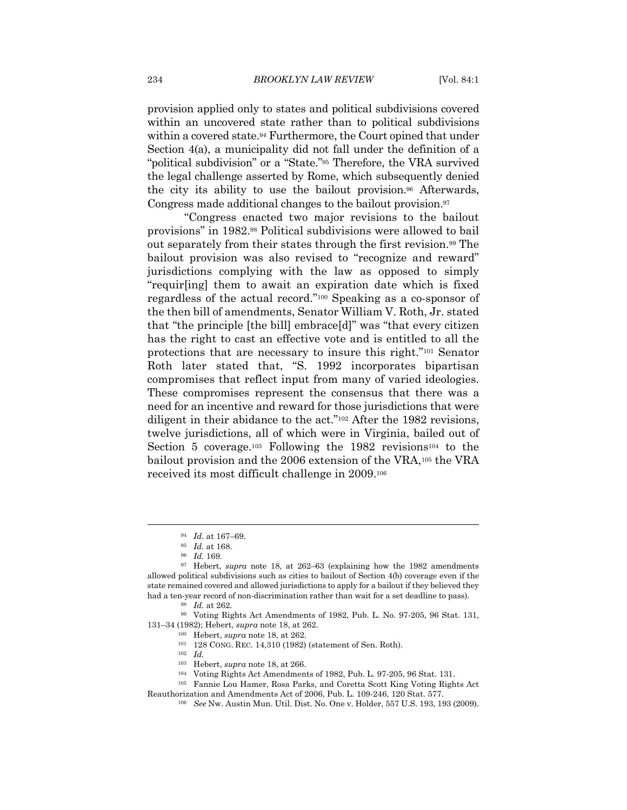provision applied only to states and political subdivisions covered within an uncovered state rather than to political subdivisions within a covered state.<sup>94</sup> Furthermore, the Court opined that under Section 4(a), a municipality did not fall under the definition of a "political subdivision" or a "State."95 Therefore, the VRA survived the legal challenge asserted by Rome, which subsequently denied the city its ability to use the bailout provision.96 Afterwards, Congress made additional changes to the bailout provision.97

"Congress enacted two major revisions to the bailout provisions" in 1982.98 Political subdivisions were allowed to bail out separately from their states through the first revision.99 The bailout provision was also revised to "recognize and reward" jurisdictions complying with the law as opposed to simply "requir[ing] them to await an expiration date which is fixed regardless of the actual record."100 Speaking as a co-sponsor of the then bill of amendments, Senator William V. Roth, Jr. stated that "the principle [the bill] embrace[d]" was "that every citizen has the right to cast an effective vote and is entitled to all the protections that are necessary to insure this right."101 Senator Roth later stated that, "S. 1992 incorporates bipartisan compromises that reflect input from many of varied ideologies. These compromises represent the consensus that there was a need for an incentive and reward for those jurisdictions that were diligent in their abidance to the act."<sup>102</sup> After the 1982 revisions, twelve jurisdictions, all of which were in Virginia, bailed out of Section 5 coverage.<sup>103</sup> Following the 1982 revisions<sup>104</sup> to the bailout provision and the 2006 extension of the VRA,<sup>105</sup> the VRA received its most difficult challenge in 2009.106

131–34 (1982); Hebert, *supra* note 18, at 262.<br><sup>100</sup> Hebert, *supra* note 18, at 262.<br><sup>101</sup> 128 CONG. REC. 14,310 (1982) (statement of Sen. Roth).<br><sup>102</sup> *Id.* 

- 103 Hebert, *supra* note 18, at 266. 104 Voting Rights Act Amendments of 1982, Pub. L. 97-205, 96 Stat. 131. 105 Fannie Lou Hamer, Rosa Parks, and Coretta Scott King Voting Rights Act
- 
- Reauthorization and Amendments Act of 2006, Pub. L. 109-246, 120 Stat. 577. 106 *See* Nw. Austin Mun. Util. Dist. No. One v. Holder, 557 U.S. 193, 193 (2009).

<sup>94</sup> *Id.* at 167–69. 95 *Id.* at 168. 96 *Id.* 169. 97 Hebert, *supra* note 18, at 262–63 (explaining how the 1982 amendments allowed political subdivisions such as cities to bailout of Section 4(b) coverage even if the state remained covered and allowed jurisdictions to apply for a bailout if they believed they had a ten-year record of non-discrimination rather than wait for a set deadline to pass).<br><sup>98</sup> *Id.* at 262.<br><sup>99</sup> Voting Rights Act Amendments of 1982, Pub. L. No. 97-205, 96 Stat. 131,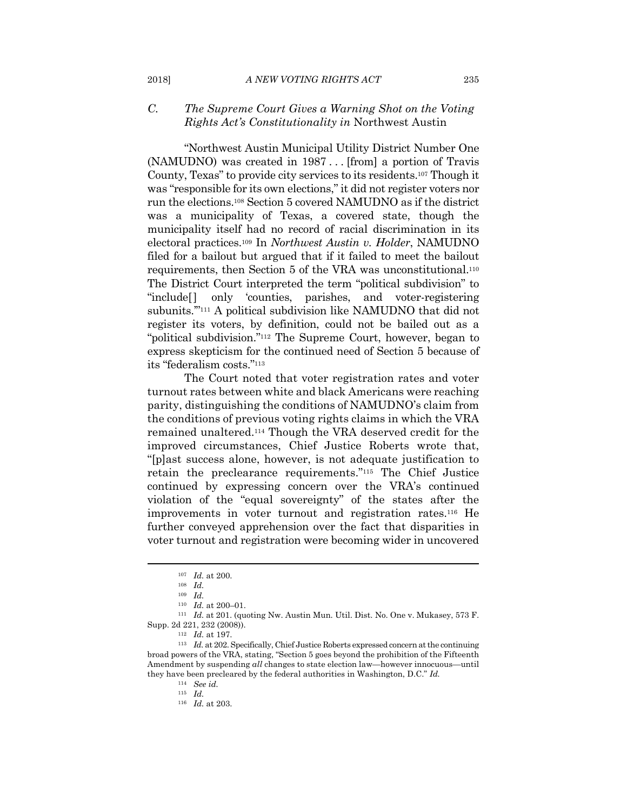#### *C. The Supreme Court Gives a Warning Shot on the Voting Rights Act's Constitutionality in* Northwest Austin

"Northwest Austin Municipal Utility District Number One (NAMUDNO) was created in 1987 . . . [from] a portion of Travis County, Texas" to provide city services to its residents.107 Though it was "responsible for its own elections," it did not register voters nor run the elections.108 Section 5 covered NAMUDNO as if the district was a municipality of Texas, a covered state, though the municipality itself had no record of racial discrimination in its electoral practices.109 In *Northwest Austin v. Holder*, NAMUDNO filed for a bailout but argued that if it failed to meet the bailout requirements, then Section 5 of the VRA was unconstitutional.110 The District Court interpreted the term "political subdivision" to "include[] only 'counties, parishes, and voter-registering subunits.'"111 A political subdivision like NAMUDNO that did not register its voters, by definition, could not be bailed out as a "political subdivision."112 The Supreme Court, however, began to express skepticism for the continued need of Section 5 because of its "federalism costs."113

The Court noted that voter registration rates and voter turnout rates between white and black Americans were reaching parity, distinguishing the conditions of NAMUDNO's claim from the conditions of previous voting rights claims in which the VRA remained unaltered.114 Though the VRA deserved credit for the improved circumstances, Chief Justice Roberts wrote that, "[p]ast success alone, however, is not adequate justification to retain the preclearance requirements."115 The Chief Justice continued by expressing concern over the VRA's continued violation of the "equal sovereignty" of the states after the improvements in voter turnout and registration rates.116 He further conveyed apprehension over the fact that disparities in voter turnout and registration were becoming wider in uncovered

<sup>107</sup> *Id.* at 200. 108 *Id.*

<sup>109</sup> *Id.*

<sup>110</sup> *Id.* at 200–01. 111 *Id.* at 201. (quoting Nw. Austin Mun. Util. Dist. No. One v. Mukasey, 573 F. Supp. 2d 221, 232 (2008)). 112 *Id.* at 197. 113 *Id.* at 202. Specifically, Chief Justice Roberts expressed concern at the continuing

broad powers of the VRA, stating, "Section 5 goes beyond the prohibition of the Fifteenth Amendment by suspending *all* changes to state election law—however innocuous—until they have been precleared by the federal authorities in Washington, D.C." *Id.*

<sup>114</sup> *See id.* <sup>115</sup> *Id.*

<sup>116</sup> *Id.* at 203.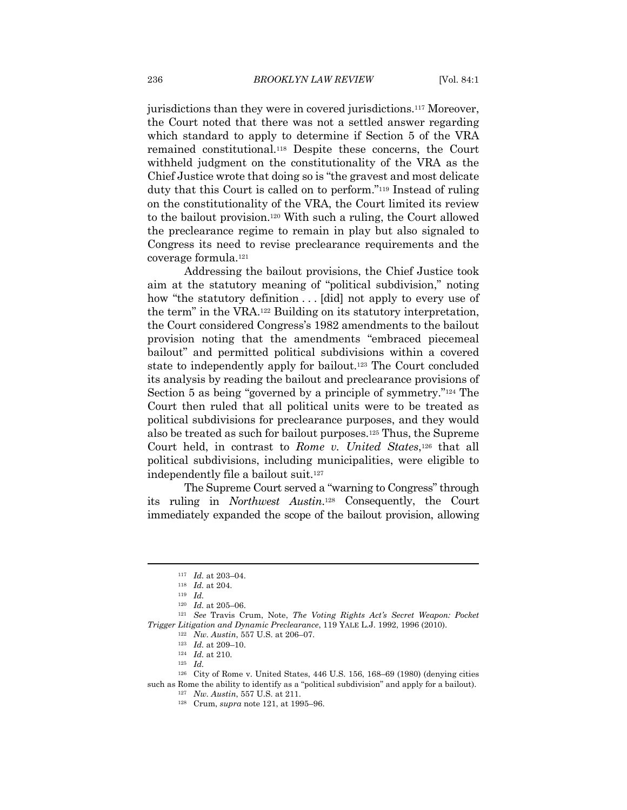jurisdictions than they were in covered jurisdictions.117 Moreover, the Court noted that there was not a settled answer regarding which standard to apply to determine if Section 5 of the VRA remained constitutional.118 Despite these concerns, the Court withheld judgment on the constitutionality of the VRA as the Chief Justice wrote that doing so is "the gravest and most delicate duty that this Court is called on to perform."119 Instead of ruling on the constitutionality of the VRA, the Court limited its review to the bailout provision.120 With such a ruling, the Court allowed the preclearance regime to remain in play but also signaled to Congress its need to revise preclearance requirements and the coverage formula.121

Addressing the bailout provisions, the Chief Justice took aim at the statutory meaning of "political subdivision," noting how "the statutory definition . . . [did] not apply to every use of the term" in the VRA.122 Building on its statutory interpretation, the Court considered Congress's 1982 amendments to the bailout provision noting that the amendments "embraced piecemeal bailout" and permitted political subdivisions within a covered state to independently apply for bailout.123 The Court concluded its analysis by reading the bailout and preclearance provisions of Section 5 as being "governed by a principle of symmetry."124 The Court then ruled that all political units were to be treated as political subdivisions for preclearance purposes, and they would also be treated as such for bailout purposes.125 Thus, the Supreme Court held, in contrast to *Rome v. United States*,<sup>126</sup> that all political subdivisions, including municipalities, were eligible to independently file a bailout suit.127

The Supreme Court served a "warning to Congress" through its ruling in *Northwest Austin*.128 Consequently, the Court immediately expanded the scope of the bailout provision, allowing

<sup>117</sup> *Id.* at 203–04. 118 *Id.* at 204. 119 *Id.*

<sup>120</sup> *Id.* at 205–06. 121 *See* Travis Crum, Note, *The Voting Rights Act's Secret Weapon: Pocket Trigger Litigation and Dynamic Preclearance*, 119 YALE L.J. 1992, 1996 (2010).<br>
<sup>122</sup> *Nw. Austin*, 557 U.S. at 206–07.<br>
<sup>123</sup> *Id.* at 210.<br>
<sup>124</sup> *Id.* at 210.

<sup>126</sup> City of Rome v. United States, 446 U.S. 156, 168–69 (1980) (denying cities such as Rome the ability to identify as a "political subdivision" and apply for a bailout). 127 *Nw. Austin*, 557 U.S. at 211. 128 Crum, *supra* note 121, at 1995–96.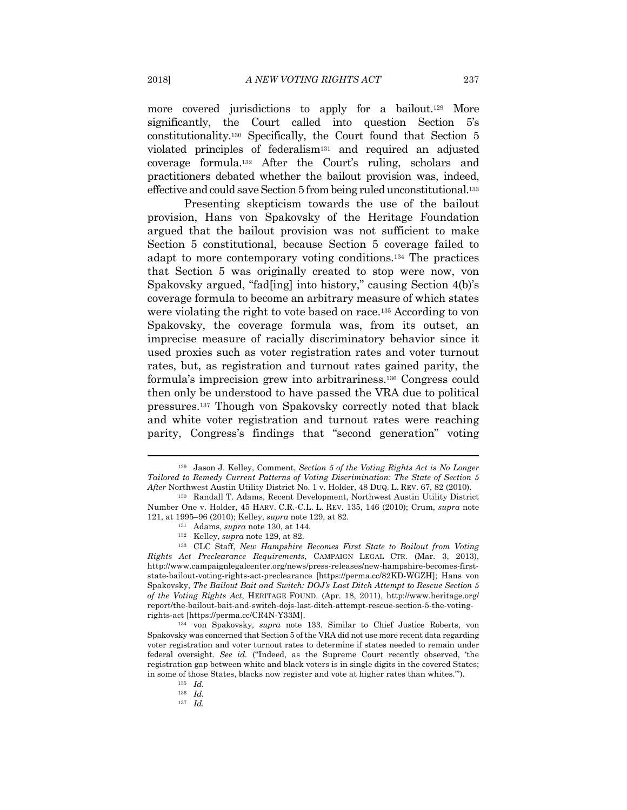more covered jurisdictions to apply for a bailout.<sup>129</sup> More significantly, the Court called into question Section 5's constitutionality.130 Specifically, the Court found that Section 5 violated principles of federalism131 and required an adjusted coverage formula.132 After the Court's ruling, scholars and practitioners debated whether the bailout provision was, indeed, effective and could save Section 5 from being ruled unconstitutional.133

Presenting skepticism towards the use of the bailout provision, Hans von Spakovsky of the Heritage Foundation argued that the bailout provision was not sufficient to make Section 5 constitutional, because Section 5 coverage failed to adapt to more contemporary voting conditions.134 The practices that Section 5 was originally created to stop were now, von Spakovsky argued, "fad[ing] into history," causing Section 4(b)'s coverage formula to become an arbitrary measure of which states were violating the right to vote based on race.135 According to von Spakovsky, the coverage formula was, from its outset, an imprecise measure of racially discriminatory behavior since it used proxies such as voter registration rates and voter turnout rates, but, as registration and turnout rates gained parity, the formula's imprecision grew into arbitrariness.136 Congress could then only be understood to have passed the VRA due to political pressures.137 Though von Spakovsky correctly noted that black and white voter registration and turnout rates were reaching parity, Congress's findings that "second generation" voting

<sup>129</sup> Jason J. Kelley, Comment, *Section 5 of the Voting Rights Act is No Longer Tailored to Remedy Current Patterns of Voting Discrimination: The State of Section 5 After* Northwest Austin Utility District No. 1 v. Holder, 48 DUQ. L. REV. 67, 82 (2010). 130 Randall T. Adams, Recent Development, Northwest Austin Utility District

Number One v. Holder, 45 HARV. C.R.-C.L. L. REV. 135, 146 (2010); Crum, *supra* note 121, at 1995–96 (2010); Kelley, *supra* note 129, at 82.

<sup>&</sup>lt;sup>131</sup> Adams, *supra* note 130, at 144.<br><sup>132</sup> Kelley, *supra* note 129, at 82.<br><sup>133</sup> CLC Staff, *New Hampshire Becomes First State to Bailout from Voting Rights Act Preclearance Requirements*, CAMPAIGN LEGAL CTR. (Mar. 3, 2013), http://www.campaignlegalcenter.org/news/press-releases/new-hampshire-becomes-firststate-bailout-voting-rights-act-preclearance [https://perma.cc/82KD-WGZH]; Hans von Spakovsky, *The Bailout Bait and Switch: DOJ's Last Ditch Attempt to Rescue Section 5 of the Voting Rights Act*, HERITAGE FOUND. (Apr. 18, 2011), http://www.heritage.org/ report/the-bailout-bait-and-switch-dojs-last-ditch-attempt-rescue-section-5-the-votingrights-act [https://perma.cc/CR4N-Y33M]. 134 von Spakovsky, *supra* note 133. Similar to Chief Justice Roberts, von

Spakovsky was concerned that Section 5 of the VRA did not use more recent data regarding voter registration and voter turnout rates to determine if states needed to remain under federal oversight. *See id.* ("Indeed, as the Supreme Court recently observed, 'the registration gap between white and black voters is in single digits in the covered States; in some of those States, blacks now register and vote at higher rates than whites.'"). 135 *Id.*

<sup>136</sup> *Id.*

<sup>137</sup> *Id.*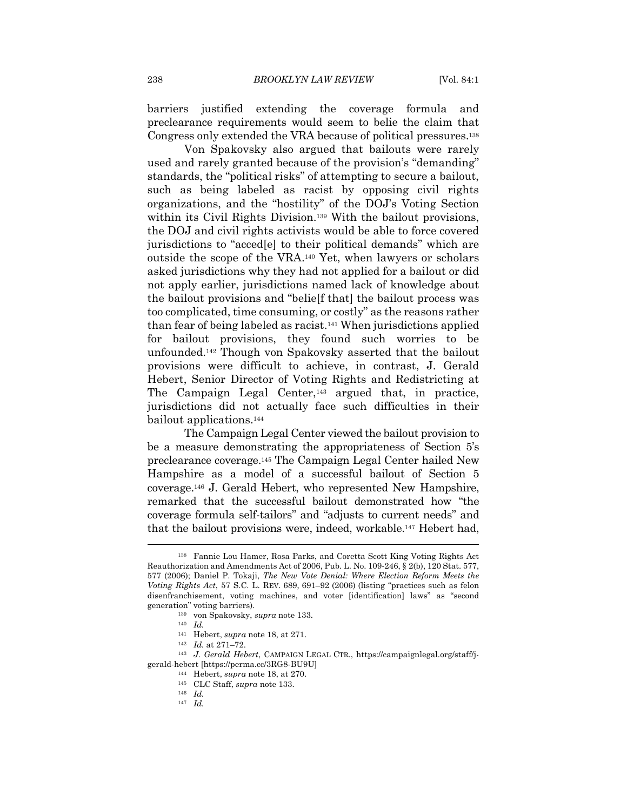barriers justified extending the coverage formula and preclearance requirements would seem to belie the claim that Congress only extended the VRA because of political pressures.138

Von Spakovsky also argued that bailouts were rarely used and rarely granted because of the provision's "demanding" standards, the "political risks" of attempting to secure a bailout, such as being labeled as racist by opposing civil rights organizations, and the "hostility" of the DOJ's Voting Section within its Civil Rights Division.<sup>139</sup> With the bailout provisions, the DOJ and civil rights activists would be able to force covered jurisdictions to "acced[e] to their political demands" which are outside the scope of the VRA.140 Yet, when lawyers or scholars asked jurisdictions why they had not applied for a bailout or did not apply earlier, jurisdictions named lack of knowledge about the bailout provisions and "belie[f that] the bailout process was too complicated, time consuming, or costly" as the reasons rather than fear of being labeled as racist.141 When jurisdictions applied for bailout provisions, they found such worries to be unfounded.142 Though von Spakovsky asserted that the bailout provisions were difficult to achieve, in contrast, J. Gerald Hebert, Senior Director of Voting Rights and Redistricting at The Campaign Legal Center,<sup>143</sup> argued that, in practice, jurisdictions did not actually face such difficulties in their bailout applications.144

The Campaign Legal Center viewed the bailout provision to be a measure demonstrating the appropriateness of Section 5's preclearance coverage.145 The Campaign Legal Center hailed New Hampshire as a model of a successful bailout of Section 5 coverage.146 J. Gerald Hebert, who represented New Hampshire, remarked that the successful bailout demonstrated how "the coverage formula self-tailors" and "adjusts to current needs" and that the bailout provisions were, indeed, workable.147 Hebert had,

<sup>138</sup> Fannie Lou Hamer, Rosa Parks, and Coretta Scott King Voting Rights Act Reauthorization and Amendments Act of 2006, Pub. L. No. 109-246, § 2(b), 120 Stat. 577, 577 (2006); Daniel P. Tokaji, *The New Vote Denial: Where Election Reform Meets the Voting Rights Act*, 57 S.C. L. REV. 689, 691–92 (2006) (listing "practices such as felon disenfranchisement, voting machines, and voter [identification] laws" as "second generation" voting barriers).<br><sup>139</sup> von Spakovsky, *supra* note 133.<br><sup>140</sup> *Id.*<br><sup>141</sup> Hebert, *supra* note 18, at 271.

<sup>&</sup>lt;sup>142</sup> Id. at 271–72.<br><sup>143</sup> J. Gerald Hebert, CAMPAIGN LEGAL CTR., https://campaignlegal.org/staff/jgerald-hebert [https://perma.cc/3RG8-BU9U] 144 Hebert, *supra* note 18, at 270. 145 CLC Staff, *supra* note 133. 146 *Id.*

<sup>147</sup> *Id.*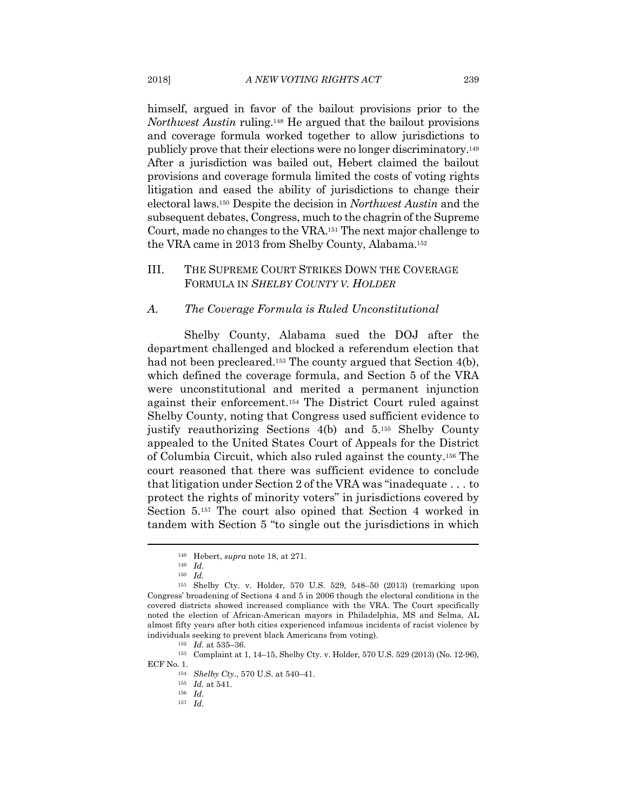himself, argued in favor of the bailout provisions prior to the *Northwest Austin* ruling.148 He argued that the bailout provisions and coverage formula worked together to allow jurisdictions to publicly prove that their elections were no longer discriminatory.149 After a jurisdiction was bailed out, Hebert claimed the bailout provisions and coverage formula limited the costs of voting rights litigation and eased the ability of jurisdictions to change their electoral laws.150 Despite the decision in *Northwest Austin* and the subsequent debates, Congress, much to the chagrin of the Supreme Court, made no changes to the VRA.151 The next major challenge to the VRA came in 2013 from Shelby County, Alabama.152

#### III. THE SUPREME COURT STRIKES DOWN THE COVERAGE FORMULA IN *SHELBY COUNTY V. HOLDER*

#### *A. The Coverage Formula is Ruled Unconstitutional*

Shelby County, Alabama sued the DOJ after the department challenged and blocked a referendum election that had not been precleared.<sup>153</sup> The county argued that Section 4(b), which defined the coverage formula, and Section 5 of the VRA were unconstitutional and merited a permanent injunction against their enforcement.154 The District Court ruled against Shelby County, noting that Congress used sufficient evidence to justify reauthorizing Sections 4(b) and 5.155 Shelby County appealed to the United States Court of Appeals for the District of Columbia Circuit, which also ruled against the county.156 The court reasoned that there was sufficient evidence to conclude that litigation under Section 2 of the VRA was "inadequate . . . to protect the rights of minority voters" in jurisdictions covered by Section 5.157 The court also opined that Section 4 worked in tandem with Section 5 "to single out the jurisdictions in which

<sup>148</sup> Hebert, *supra* note 18, at 271. 149 *Id.*

<sup>150</sup> *Id.*

<sup>151</sup> Shelby Cty. v. Holder, 570 U.S. 529, 548–50 (2013) (remarking upon Congress' broadening of Sections 4 and 5 in 2006 though the electoral conditions in the covered districts showed increased compliance with the VRA. The Court specifically noted the election of African-American mayors in Philadelphia, MS and Selma, AL almost fifty years after both cities experienced infamous incidents of racist violence by individuals seeking to prevent black Americans from voting). 152 *Id.* at 535–36. 153 Complaint at 1, 14–15, Shelby Cty. v. Holder, 570 U.S. 529 (2013) (No. 12-96),

ECF No. 1.

<sup>154</sup> *Shelby Cty*., 570 U.S. at 540–41. 155 *Id.* at 541. 156 *Id.*

<sup>157</sup> *Id.*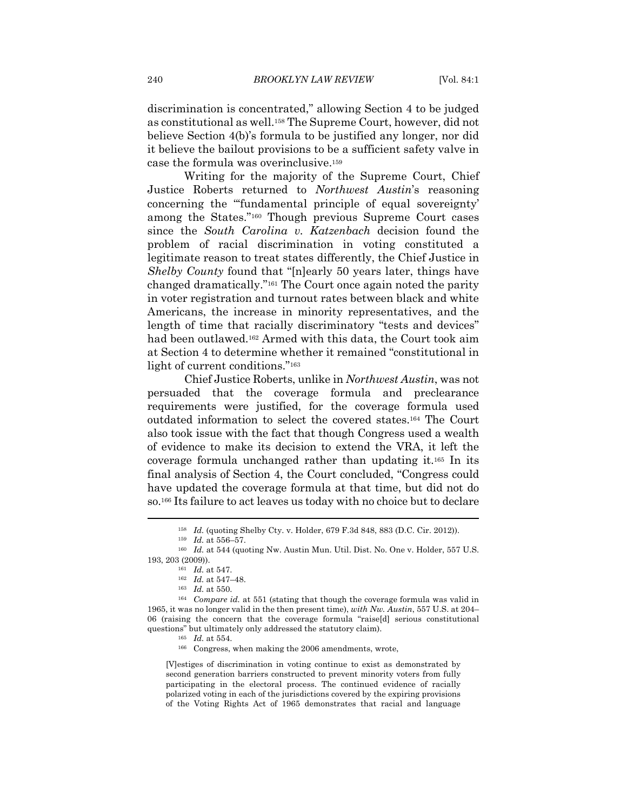discrimination is concentrated," allowing Section 4 to be judged as constitutional as well.158 The Supreme Court, however, did not believe Section 4(b)'s formula to be justified any longer, nor did it believe the bailout provisions to be a sufficient safety valve in case the formula was overinclusive.159

Writing for the majority of the Supreme Court, Chief Justice Roberts returned to *Northwest Austin*'s reasoning concerning the "'fundamental principle of equal sovereignty' among the States."160 Though previous Supreme Court cases since the *South Carolina v. Katzenbach* decision found the problem of racial discrimination in voting constituted a legitimate reason to treat states differently, the Chief Justice in *Shelby County* found that "[n]early 50 years later, things have changed dramatically."161 The Court once again noted the parity in voter registration and turnout rates between black and white Americans, the increase in minority representatives, and the length of time that racially discriminatory "tests and devices" had been outlawed.162 Armed with this data, the Court took aim at Section 4 to determine whether it remained "constitutional in light of current conditions."163

Chief Justice Roberts, unlike in *Northwest Austin*, was not persuaded that the coverage formula and preclearance requirements were justified, for the coverage formula used outdated information to select the covered states.164 The Court also took issue with the fact that though Congress used a wealth of evidence to make its decision to extend the VRA, it left the coverage formula unchanged rather than updating it.165 In its final analysis of Section 4, the Court concluded, "Congress could have updated the coverage formula at that time, but did not do so.166 Its failure to act leaves us today with no choice but to declare

[V]estiges of discrimination in voting continue to exist as demonstrated by second generation barriers constructed to prevent minority voters from fully participating in the electoral process. The continued evidence of racially polarized voting in each of the jurisdictions covered by the expiring provisions of the Voting Rights Act of 1965 demonstrates that racial and language

<sup>158</sup> *Id.* (quoting Shelby Cty. v. Holder, 679 F.3d 848, 883 (D.C. Cir. 2012)).<br><sup>159</sup> *Id.* at 556–57. 160 *Id.* at 544 (quoting Nw. Austin Mun. Util. Dist. No. One v. Holder, 557 U.S.

<sup>193, 203 (2009)).&</sup>lt;br><sup>161</sup> *Id.* at 547.<br><sup>162</sup> *Id.* at 547–48.<br><sup>163</sup> *Id.* at 550.<br><sup>164</sup> Compare id. at 551 (stating that though the coverage formula was valid in

<sup>1965,</sup> it was no longer valid in the then present time), *with Nw. Austin*, 557 U.S. at 204– 06 (raising the concern that the coverage formula "raise[d] serious constitutional questions" but ultimately only addressed the statutory claim).<br><sup>165</sup> *Id.* at 554.<br><sup>166</sup> Congress, when making the 2006 amendments, wrote,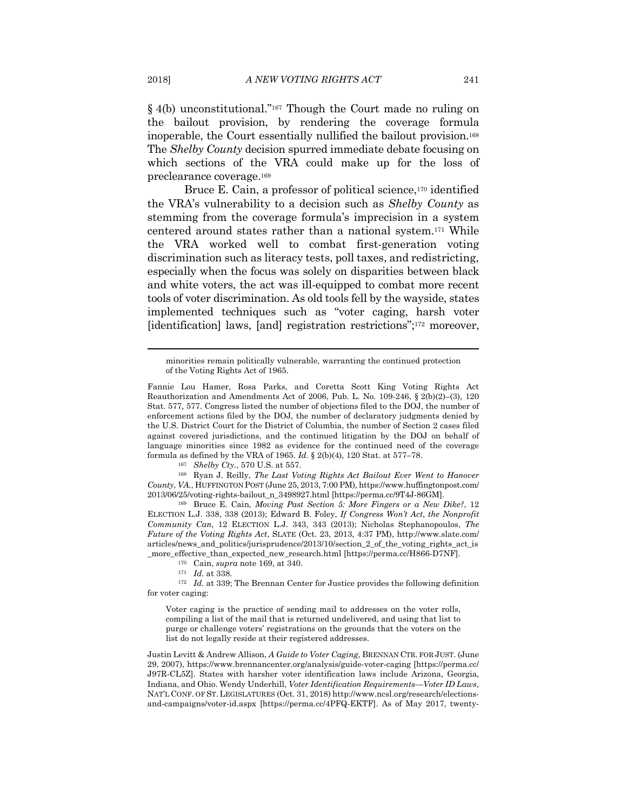§ 4(b) unconstitutional."167 Though the Court made no ruling on the bailout provision, by rendering the coverage formula inoperable, the Court essentially nullified the bailout provision.168 The *Shelby County* decision spurred immediate debate focusing on which sections of the VRA could make up for the loss of preclearance coverage.169

Bruce E. Cain, a professor of political science,<sup>170</sup> identified the VRA's vulnerability to a decision such as *Shelby County* as stemming from the coverage formula's imprecision in a system centered around states rather than a national system.171 While the VRA worked well to combat first-generation voting discrimination such as literacy tests, poll taxes, and redistricting, especially when the focus was solely on disparities between black and white voters, the act was ill-equipped to combat more recent tools of voter discrimination. As old tools fell by the wayside, states implemented techniques such as "voter caging, harsh voter [identification] laws, [and] registration restrictions";<sup>172</sup> moreover,

*County*, *VA.*, HUFFINGTON POST (June 25, 2013, 7:00 PM), https://www.huffingtonpost.com/ 2013/06/25/voting-rights-bailout\_n\_3498927.html [https://perma.cc/9T4J-86GM]. 169 Bruce E. Cain, *Moving Past Section 5: More Fingers or a New Dike?*, 12

ELECTION L.J. 338, 338 (2013); Edward B. Foley, *If Congress Won't Act*, *the Nonprofit Community Can*, 12 ELECTION L.J. 343, 343 (2013); Nicholas Stephanopoulos, *The Future of the Voting Rights Act*, SLATE (Oct. 23, 2013, 4:37 PM), http://www.slate.com/ articles/news\_and\_politics/jurisprudence/2013/10/section\_2\_of\_the\_voting\_rights\_act\_is

\_more\_effective\_than\_expected\_new\_research.html [https://perma.cc/H866-D7NF].<br><sup>170</sup> Cain, *supra* note 169, at 340.<br><sup>171</sup> Id. at 338.<br><sup>172</sup> Id. at 339; The Brennan Center for Justice provides the following definition for voter caging:

Voter caging is the practice of sending mail to addresses on the voter rolls, compiling a list of the mail that is returned undelivered, and using that list to purge or challenge voters' registrations on the grounds that the voters on the list do not legally reside at their registered addresses.

Justin Levitt & Andrew Allison, *A Guide to Voter Caging*, BRENNAN CTR. FOR JUST. (June 29, 2007), https://www.brennancenter.org/analysis/guide-voter-caging [https://perma.cc/ J97R-CL5Z]. States with harsher voter identification laws include Arizona, Georgia, Indiana, and Ohio. Wendy Underhill, *Voter Identification Requirements—Voter ID Laws*, NAT'L CONF. OF ST. LEGISLATURES (Oct. 31, 2018) http://www.ncsl.org/research/electionsand-campaigns/voter-id.aspx [https://perma.cc/4PFQ-EKTF]. As of May 2017, twenty-

minorities remain politically vulnerable, warranting the continued protection of the Voting Rights Act of 1965.

Fannie Lou Hamer, Rosa Parks, and Coretta Scott King Voting Rights Act Reauthorization and Amendments Act of 2006, Pub. L. No. 109-246, § 2(b)(2)–(3), 120 Stat. 577, 577. Congress listed the number of objections filed to the DOJ, the number of enforcement actions filed by the DOJ, the number of declaratory judgments denied by the U.S. District Court for the District of Columbia, the number of Section 2 cases filed against covered jurisdictions, and the continued litigation by the DOJ on behalf of language minorities since 1982 as evidence for the continued need of the coverage formula as defined by the VRA of 1965. *Id.* § 2(b)(4), 120 Stat. at 577–78.<br><sup>167</sup> Shelby Cty., 570 U.S. at 557.<br><sup>168</sup> Ryan J. Reilly, *The Last Voting Rights Act Bailout Ever Went to Hanover*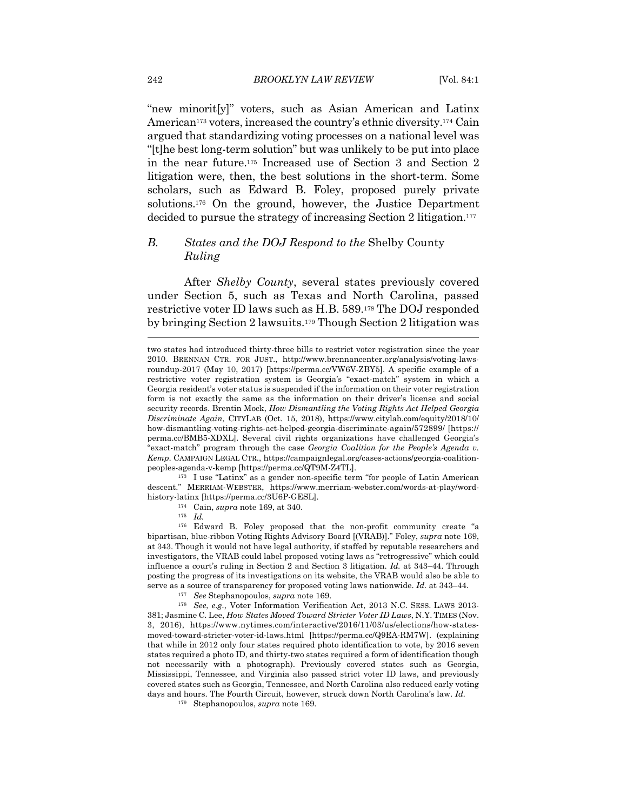"new minorit[y]" voters, such as Asian American and Latinx American<sup>173</sup> voters, increased the country's ethnic diversity.<sup>174</sup> Cain argued that standardizing voting processes on a national level was "[t]he best long-term solution" but was unlikely to be put into place in the near future.175 Increased use of Section 3 and Section 2 litigation were, then, the best solutions in the short-term. Some scholars, such as Edward B. Foley, proposed purely private solutions.176 On the ground, however, the Justice Department decided to pursue the strategy of increasing Section 2 litigation.177

#### *B. States and the DOJ Respond to the* Shelby County *Ruling*

After *Shelby County*, several states previously covered under Section 5, such as Texas and North Carolina, passed restrictive voter ID laws such as H.B. 589.178 The DOJ responded by bringing Section 2 lawsuits.179 Though Section 2 litigation was

descent." MERRIAM-WEBSTER, https://www.merriam-webster.com/words-at-play/wordhistory-latinx [https://perma.cc/3U6P-GESL]. 174 Cain, *supra* note 169, at 340. 175 *Id.*

<sup>176</sup> Edward B. Foley proposed that the non-profit community create "a bipartisan, blue-ribbon Voting Rights Advisory Board [(VRAB)]." Foley, *supra* note 169, at 343. Though it would not have legal authority, if staffed by reputable researchers and investigators, the VRAB could label proposed voting laws as "retrogressive" which could influence a court's ruling in Section 2 and Section 3 litigation. *Id.* at 343–44. Through posting the progress of its investigations on its website, the VRAB would also be able to serve as a source of transparency for proposed voting laws nationwide. *Id.* at 343–44.<br><sup>177</sup> See Stephanopoulos, *supra* note 169.<br><sup>178</sup> See, e.g., Voter Information Verification Act, 2013 N.C. SESS. LAWS 2013-

381; Jasmine C. Lee, *How States Moved Toward Stricter Voter ID Laws*, N.Y. TIMES (Nov. 3, 2016), https://www.nytimes.com/interactive/2016/11/03/us/elections/how-statesmoved-toward-stricter-voter-id-laws.html [https://perma.cc/Q9EA-RM7W]. (explaining that while in 2012 only four states required photo identification to vote, by 2016 seven states required a photo ID, and thirty-two states required a form of identification though not necessarily with a photograph). Previously covered states such as Georgia, Mississippi, Tennessee, and Virginia also passed strict voter ID laws, and previously covered states such as Georgia, Tennessee, and North Carolina also reduced early voting days and hours. The Fourth Circuit, however, struck down North Carolina's law. *Id.* 

179 Stephanopoulos, *supra* note 169.

two states had introduced thirty-three bills to restrict voter registration since the year 2010. BRENNAN CTR. FOR JUST., http://www.brennancenter.org/analysis/voting-lawsroundup-2017 (May 10, 2017) [https://perma.cc/VW6V-ZBY5]. A specific example of a restrictive voter registration system is Georgia's "exact-match" system in which a Georgia resident's voter status is suspended if the information on their voter registration form is not exactly the same as the information on their driver's license and social security records. Brentin Mock, *How Dismantling the Voting Rights Act Helped Georgia Discriminate Again*, CITYLAB (Oct. 15, 2018), https://www.citylab.com/equity/2018/10/ how-dismantling-voting-rights-act-helped-georgia-discriminate-again/572899/ [https:// perma.cc/BMB5-XDXL]. Several civil rights organizations have challenged Georgia's "exact-match" program through the case *Georgia Coalition for the People's Agenda v. Kemp*. CAMPAIGN LEGAL CTR., https://campaignlegal.org/cases-actions/georgia-coalitionpeoples-agenda-v-kemp [https://perma.cc/QT9M-Z4TL]. 173 I use "Latinx" as a gender non-specific term "for people of Latin American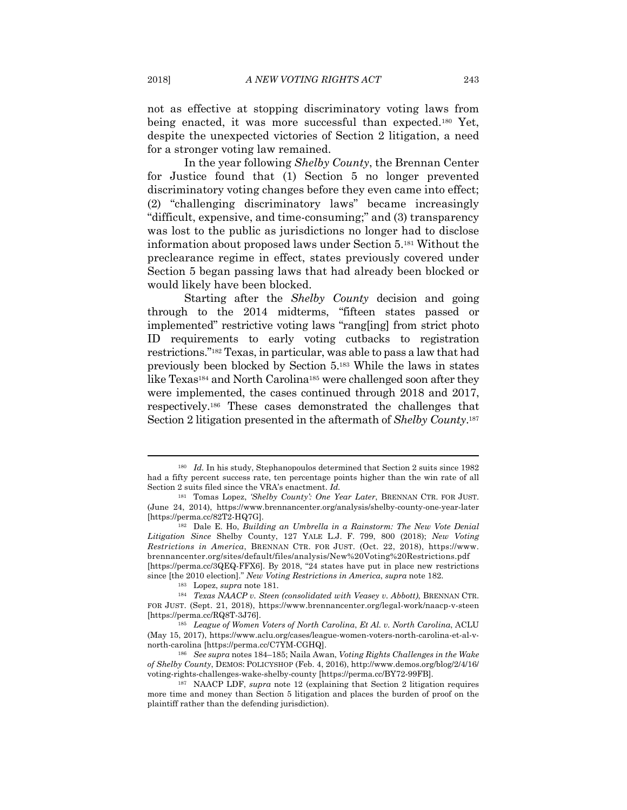not as effective at stopping discriminatory voting laws from being enacted, it was more successful than expected.180 Yet, despite the unexpected victories of Section 2 litigation, a need for a stronger voting law remained.

In the year following *Shelby County*, the Brennan Center for Justice found that (1) Section 5 no longer prevented discriminatory voting changes before they even came into effect; (2) "challenging discriminatory laws" became increasingly "difficult, expensive, and time-consuming;" and (3) transparency was lost to the public as jurisdictions no longer had to disclose information about proposed laws under Section 5.181 Without the preclearance regime in effect, states previously covered under Section 5 began passing laws that had already been blocked or would likely have been blocked.

Starting after the *Shelby County* decision and going through to the 2014 midterms, "fifteen states passed or implemented" restrictive voting laws "rang[ing] from strict photo ID requirements to early voting cutbacks to registration restrictions."182 Texas, in particular, was able to pass a law that had previously been blocked by Section 5.183 While the laws in states like Texas<sup>184</sup> and North Carolina<sup>185</sup> were challenged soon after they were implemented, the cases continued through 2018 and 2017, respectively.186 These cases demonstrated the challenges that Section 2 litigation presented in the aftermath of *Shelby County*.187

<sup>180</sup> *Id.* In his study, Stephanopoulos determined that Section 2 suits since 1982 had a fifty percent success rate, ten percentage points higher than the win rate of all Section 2 suits filed since the VRA's enactment. *Id.*

<sup>181</sup> Tomas Lopez, *'Shelby County': One Year Later*, BRENNAN CTR. FOR JUST. (June 24, 2014), https://www.brennancenter.org/analysis/shelby-county-one-year-later [https://perma.cc/82T2-HQ7G]. 182 Dale E. Ho, *Building an Umbrella in a Rainstorm: The New Vote Denial* 

*Litigation Since* Shelby County, 127 YALE L.J. F. 799, 800 (2018); *New Voting Restrictions in America*, BRENNAN CTR. FOR JUST. (Oct. 22, 2018), https://www. brennancenter.org/sites/default/files/analysis/New%20Voting%20Restrictions.pdf [https://perma.cc/3QEQ-FFX6]. By 2018, "24 states have put in place new restrictions

since [the 2010 election]." *New Voting Restrictions in America*, *supra* note 182. 183 Lopez, *supra* note 181. 184 *Texas NAACP v. Steen (consolidated with Veasey v. Abbott)*, BRENNAN CTR. FOR JUST. (Sept. 21, 2018), https://www.brennancenter.org/legal-work/naacp-v-steen

<sup>[</sup>https://perma.cc/RQ8T-3J76]. 185 *League of Women Voters of North Carolina*, *Et Al. v. North Carolina*, ACLU (May 15, 2017), https://www.aclu.org/cases/league-women-voters-north-carolina-et-al-vnorth-carolina [https://perma.cc/C7YM-CGHQ]. 186 *See supra* notes 184–185; Naila Awan, *Voting Rights Challenges in the Wake* 

*of Shelby County*, DEMOS: POLICYSHOP (Feb. 4, 2016), http://www.demos.org/blog/2/4/16/ voting-rights-challenges-wake-shelby-county [https://perma.cc/BY72-99FB]. 187 NAACP LDF, *supra* note 12 (explaining that Section 2 litigation requires

more time and money than Section 5 litigation and places the burden of proof on the plaintiff rather than the defending jurisdiction).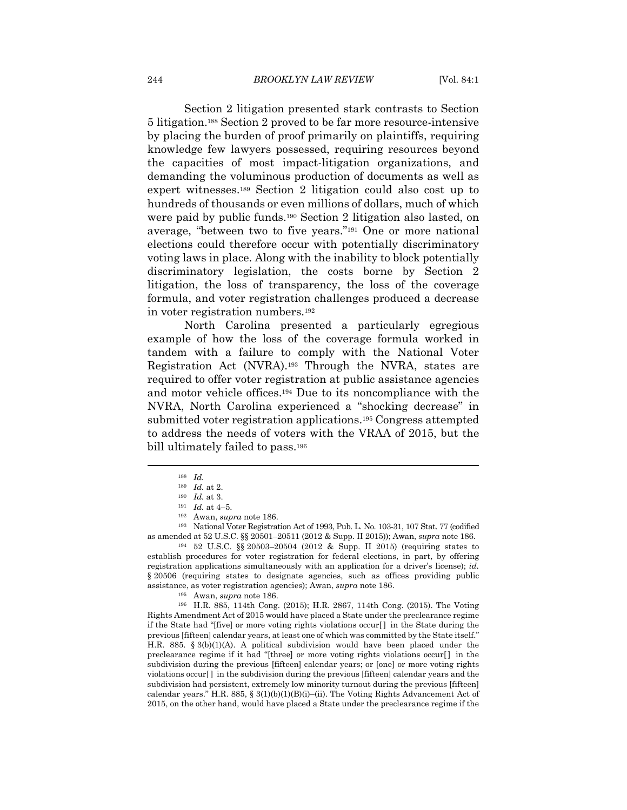Section 2 litigation presented stark contrasts to Section 5 litigation.188 Section 2 proved to be far more resource-intensive by placing the burden of proof primarily on plaintiffs, requiring knowledge few lawyers possessed, requiring resources beyond the capacities of most impact-litigation organizations, and demanding the voluminous production of documents as well as expert witnesses.189 Section 2 litigation could also cost up to hundreds of thousands or even millions of dollars, much of which were paid by public funds.190 Section 2 litigation also lasted, on average, "between two to five years."191 One or more national elections could therefore occur with potentially discriminatory voting laws in place. Along with the inability to block potentially discriminatory legislation, the costs borne by Section 2 litigation, the loss of transparency, the loss of the coverage formula, and voter registration challenges produced a decrease in voter registration numbers.192

North Carolina presented a particularly egregious example of how the loss of the coverage formula worked in tandem with a failure to comply with the National Voter Registration Act (NVRA).193 Through the NVRA, states are required to offer voter registration at public assistance agencies and motor vehicle offices.194 Due to its noncompliance with the NVRA, North Carolina experienced a "shocking decrease" in submitted voter registration applications.195 Congress attempted to address the needs of voters with the VRAA of 2015, but the bill ultimately failed to pass.196

establish procedures for voter registration for federal elections, in part, by offering registration applications simultaneously with an application for a driver's license); *id.* § 20506 (requiring states to designate agencies, such as offices providing public assistance, as voter registration agencies); Awan, *supra* note 186.<br><sup>195</sup> Awan, *supra* note 186.<br><sup>196</sup> H.R. 885, 114th Cong. (2015); H.R. 2867, 114th Cong. (2015). The Voting

Rights Amendment Act of 2015 would have placed a State under the preclearance regime if the State had "[five] or more voting rights violations occur[ ] in the State during the previous [fifteen] calendar years, at least one of which was committed by the State itself." H.R. 885. § 3(b)(1)(A). A political subdivision would have been placed under the preclearance regime if it had "[three] or more voting rights violations occur[ ] in the subdivision during the previous [fifteen] calendar years; or [one] or more voting rights violations occur[ ] in the subdivision during the previous [fifteen] calendar years and the subdivision had persistent, extremely low minority turnout during the previous [fifteen] calendar years." H.R. 885,  $\S 3(1)(b)(1)(B)(i)$ –(ii). The Voting Rights Advancement Act of 2015, on the other hand, would have placed a State under the preclearance regime if the

 $\begin{array}{ll} 188 & Id. \\ 189 & Id. \text{ at } 2. \end{array}$ 

<sup>189</sup> *Id.* at 2. 190 *Id.* at 3. 191 *Id.* at 4–5. 192 Awan, *supra* note 186. 193 National Voter Registration Act of 1993, Pub. L. No. 103-31, 107 Stat. 77 (codified as amended at 52 U.S.C. §§ 20501–20511 (2012 & Supp. II 2015)); Awan, *supra* note 186. 194 52 U.S.C. §§ 20503–20504 (2012 & Supp. II 2015) (requiring states to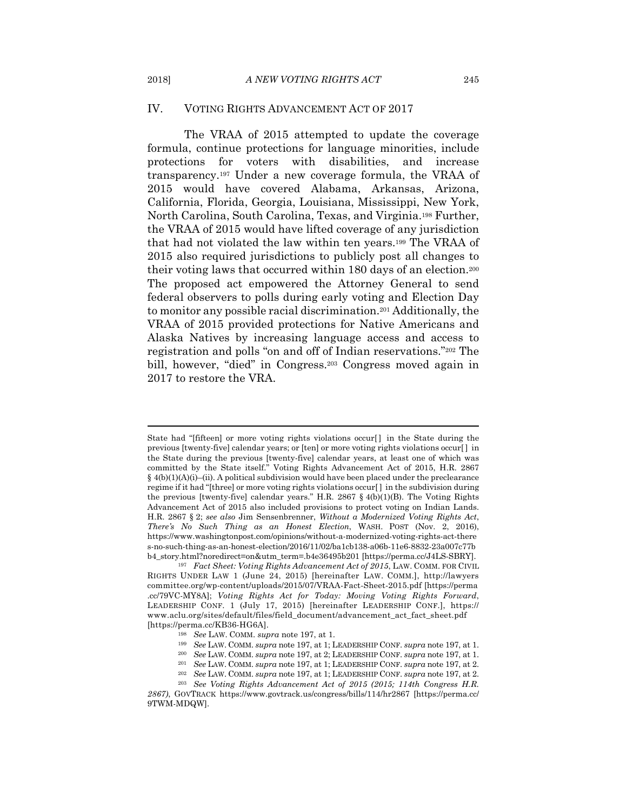#### IV. VOTING RIGHTS ADVANCEMENT ACT OF 2017

The VRAA of 2015 attempted to update the coverage formula, continue protections for language minorities, include protections for voters with disabilities, and increase transparency.197 Under a new coverage formula, the VRAA of 2015 would have covered Alabama, Arkansas, Arizona, California, Florida, Georgia, Louisiana, Mississippi, New York, North Carolina, South Carolina, Texas, and Virginia.198 Further, the VRAA of 2015 would have lifted coverage of any jurisdiction that had not violated the law within ten years.199 The VRAA of 2015 also required jurisdictions to publicly post all changes to their voting laws that occurred within 180 days of an election.200 The proposed act empowered the Attorney General to send federal observers to polls during early voting and Election Day to monitor any possible racial discrimination.201 Additionally, the VRAA of 2015 provided protections for Native Americans and Alaska Natives by increasing language access and access to registration and polls "on and off of Indian reservations."202 The bill, however, "died" in Congress.203 Congress moved again in 2017 to restore the VRA.

State had "[fifteen] or more voting rights violations occur[] in the State during the previous [twenty-five] calendar years; or [ten] or more voting rights violations occur[ ] in the State during the previous [twenty-five] calendar years, at least one of which was committed by the State itself." Voting Rights Advancement Act of 2015, H.R. 2867  $§$  4(b)(1)(A)(i)–(ii). A political subdivision would have been placed under the preclearance regime if it had "[three] or more voting rights violations occur[ ] in the subdivision during the previous [twenty-five] calendar years." H.R. 2867 § 4(b)(1)(B). The Voting Rights Advancement Act of 2015 also included provisions to protect voting on Indian Lands. H.R. 2867 § 2; *see also* Jim Sensenbrenner, *Without a Modernized Voting Rights Act*, *There's No Such Thing as an Honest Election*, WASH. POST (Nov. 2, 2016), https://www.washingtonpost.com/opinions/without-a-modernized-voting-rights-act-there s-no-such-thing-as-an-honest-election/2016/11/02/ba1cb138-a06b-11e6-8832-23a007c77b b4\_story.html?noredirect=on&utm\_term=.b4e36495b201 [https://perma.cc/J4LS-SBRY]. 197 *Fact Sheet: Voting Rights Advancement Act of 2015*, LAW. COMM. FOR CIVIL

RIGHTS UNDER LAW 1 (June 24, 2015) [hereinafter LAW. COMM.], http://lawyers committee.org/wp-content/uploads/2015/07/VRAA-Fact-Sheet-2015.pdf [https://perma .cc/79VC-MY8A]; *Voting Rights Act for Today: Moving Voting Rights Forward*, LEADERSHIP CONF. 1 (July 17, 2015) [hereinafter LEADERSHIP CONF.], https:// www.aclu.org/sites/default/files/field\_document/advancement\_act\_fact\_sheet.pdf [https://perma.cc/KB36-HG6A].<br>
<sup>198</sup> See LAW. COMM. supra note 197, at 1.<br>
<sup>198</sup> See LAW. COMM. supra note 197, at 1; LEADERSHIP CONF. supra note 197, at 1.<br>
<sup>199</sup> See LAW. COMM. supra note 197, at 2; LEADERSHIP CONF. sup

*<sup>2867)</sup>*, GOVTRACK https://www.govtrack.us/congress/bills/114/hr2867 [https://perma.cc/ 9TWM-MDQW].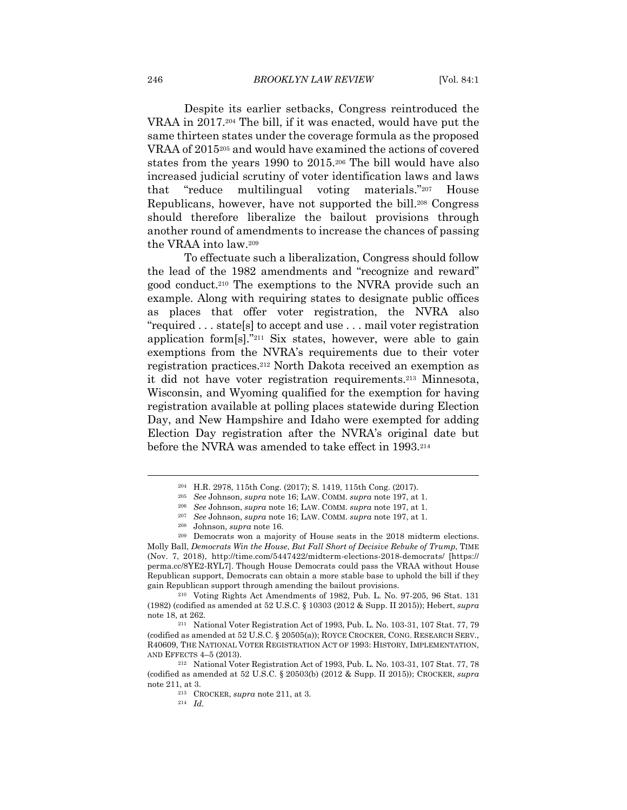Despite its earlier setbacks, Congress reintroduced the VRAA in 2017.204 The bill, if it was enacted, would have put the same thirteen states under the coverage formula as the proposed VRAA of 2015205 and would have examined the actions of covered states from the years 1990 to 2015.206 The bill would have also increased judicial scrutiny of voter identification laws and laws that "reduce multilingual voting materials."207 House Republicans, however, have not supported the bill.208 Congress should therefore liberalize the bailout provisions through another round of amendments to increase the chances of passing the VRAA into law.209

To effectuate such a liberalization, Congress should follow the lead of the 1982 amendments and "recognize and reward" good conduct.210 The exemptions to the NVRA provide such an example. Along with requiring states to designate public offices as places that offer voter registration, the NVRA also "required . . . state[s] to accept and use . . . mail voter registration application form  $[s]$ ."<sup>211</sup> Six states, however, were able to gain exemptions from the NVRA's requirements due to their voter registration practices.212 North Dakota received an exemption as it did not have voter registration requirements.213 Minnesota, Wisconsin, and Wyoming qualified for the exemption for having registration available at polling places statewide during Election Day, and New Hampshire and Idaho were exempted for adding Election Day registration after the NVRA's original date but before the NVRA was amended to take effect in 1993.214

(1982) (codified as amended at 52 U.S.C. § 10303 (2012 & Supp. II 2015)); Hebert, *supra*  note 18, at 262. 211 National Voter Registration Act of 1993, Pub. L. No. 103-31, 107 Stat. 77, 79

(codified as amended at 52 U.S.C. § 20505(a)); ROYCE CROCKER, CONG. RESEARCH SERV., R40609, THE NATIONAL VOTER REGISTRATION ACT OF 1993: HISTORY, IMPLEMENTATION, AND EFFECTS 4–5 (2013). 212 National Voter Registration Act of 1993, Pub. L. No. 103-31, 107 Stat. 77, 78

<sup>&</sup>lt;sup>204</sup> H.R. 2978, 115th Cong. (2017); S. 1419, 115th Cong. (2017).<br><sup>205</sup> See Johnson, *supra* note 16; LAW. COMM. *supra* note 197, at 1.<br><sup>206</sup> See Johnson, *supra* note 16; LAW. COMM. *supra* note 197, at 1.<br><sup>207</sup> See Joh

Molly Ball, *Democrats Win the House*, *But Fall Short of Decisive Rebuke of Trump*, TIME (Nov. 7, 2018), http://time.com/5447422/midterm-elections-2018-democrats/ [https:// perma.cc/8YE2-RYL7]. Though House Democrats could pass the VRAA without House Republican support, Democrats can obtain a more stable base to uphold the bill if they gain Republican support through amending the bailout provisions. 210 Voting Rights Act Amendments of 1982, Pub. L. No. 97-205, 96 Stat. 131

<sup>(</sup>codified as amended at 52 U.S.C. § 20503(b) (2012 & Supp. II 2015)); CROCKER, *supra*  note 211, at 3. 213 CROCKER, *supra* note 211, at 3. 214 *Id.*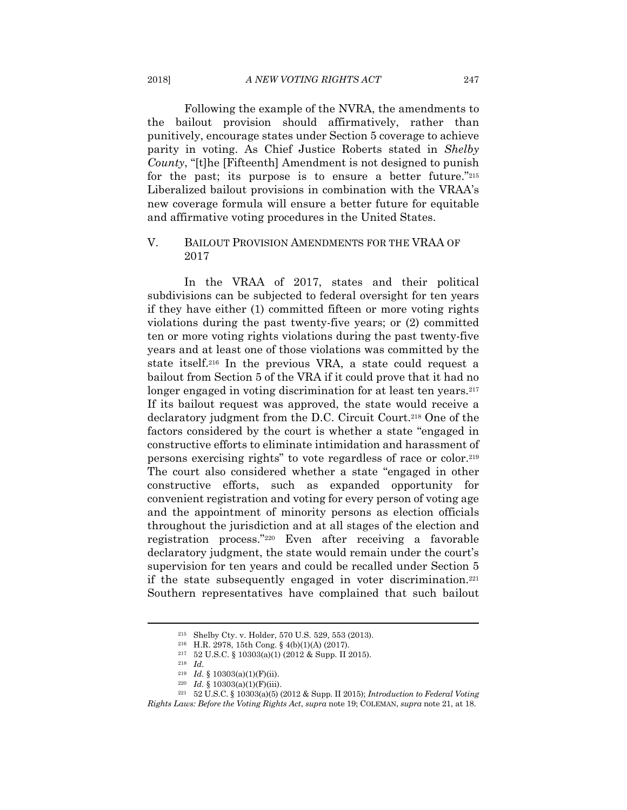Following the example of the NVRA, the amendments to the bailout provision should affirmatively, rather than punitively, encourage states under Section 5 coverage to achieve parity in voting. As Chief Justice Roberts stated in *Shelby County*, "[t]he [Fifteenth] Amendment is not designed to punish for the past; its purpose is to ensure a better future."215 Liberalized bailout provisions in combination with the VRAA's new coverage formula will ensure a better future for equitable and affirmative voting procedures in the United States.

#### V. BAILOUT PROVISION AMENDMENTS FOR THE VRAA OF 2017

In the VRAA of 2017, states and their political subdivisions can be subjected to federal oversight for ten years if they have either (1) committed fifteen or more voting rights violations during the past twenty-five years; or (2) committed ten or more voting rights violations during the past twenty-five years and at least one of those violations was committed by the state itself.216 In the previous VRA, a state could request a bailout from Section 5 of the VRA if it could prove that it had no longer engaged in voting discrimination for at least ten years.<sup>217</sup> If its bailout request was approved, the state would receive a declaratory judgment from the D.C. Circuit Court.218 One of the factors considered by the court is whether a state "engaged in constructive efforts to eliminate intimidation and harassment of persons exercising rights" to vote regardless of race or color.219 The court also considered whether a state "engaged in other constructive efforts, such as expanded opportunity for convenient registration and voting for every person of voting age and the appointment of minority persons as election officials throughout the jurisdiction and at all stages of the election and registration process."220 Even after receiving a favorable declaratory judgment, the state would remain under the court's supervision for ten years and could be recalled under Section 5 if the state subsequently engaged in voter discrimination.<sup>221</sup> Southern representatives have complained that such bailout

<sup>215</sup> Shelby Cty. v. Holder, 570 U.S. 529, 553 (2013).<br>
216 H.R. 2978, 15th Cong. § 4(b)(1)(A) (2017).<br>
217 52 U.S.C. § 10303(a)(1) (2012 & Supp. II 2015).<br>
218 *Id.* § 10303(a)(1)(F)(ii).

<sup>219</sup> *Id.* § 10303(a)(1)(F)(ii). 220 *Id.* § 10303(a)(1)(F)(iii). 221 52 U.S.C. § 10303(a)(5) (2012 & Supp. II 2015); *Introduction to Federal Voting Rights Laws: Before the Voting Rights Act*, *supra* note 19; COLEMAN, *supra* note 21, at 18.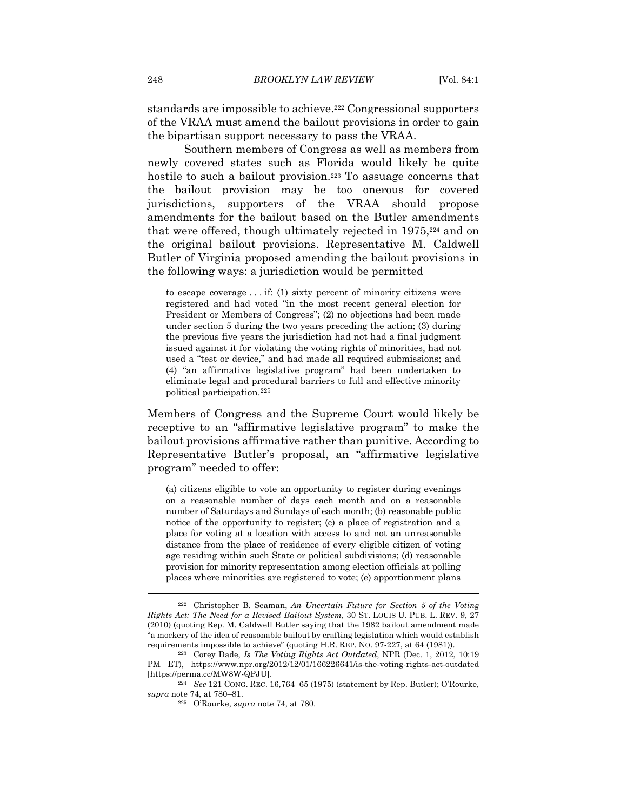standards are impossible to achieve.222 Congressional supporters of the VRAA must amend the bailout provisions in order to gain the bipartisan support necessary to pass the VRAA.

Southern members of Congress as well as members from newly covered states such as Florida would likely be quite hostile to such a bailout provision.<sup>223</sup> To assuage concerns that the bailout provision may be too onerous for covered jurisdictions, supporters of the VRAA should propose amendments for the bailout based on the Butler amendments that were offered, though ultimately rejected in 1975,224 and on the original bailout provisions. Representative M. Caldwell Butler of Virginia proposed amending the bailout provisions in the following ways: a jurisdiction would be permitted

to escape coverage . . . if: (1) sixty percent of minority citizens were registered and had voted "in the most recent general election for President or Members of Congress"; (2) no objections had been made under section 5 during the two years preceding the action; (3) during the previous five years the jurisdiction had not had a final judgment issued against it for violating the voting rights of minorities, had not used a "test or device," and had made all required submissions; and (4) "an affirmative legislative program" had been undertaken to eliminate legal and procedural barriers to full and effective minority political participation.225

Members of Congress and the Supreme Court would likely be receptive to an "affirmative legislative program" to make the bailout provisions affirmative rather than punitive. According to Representative Butler's proposal, an "affirmative legislative program" needed to offer:

(a) citizens eligible to vote an opportunity to register during evenings on a reasonable number of days each month and on a reasonable number of Saturdays and Sundays of each month; (b) reasonable public notice of the opportunity to register; (c) a place of registration and a place for voting at a location with access to and not an unreasonable distance from the place of residence of every eligible citizen of voting age residing within such State or political subdivisions; (d) reasonable provision for minority representation among election officials at polling places where minorities are registered to vote; (e) apportionment plans

<sup>222</sup> Christopher B. Seaman, *An Uncertain Future for Section 5 of the Voting Rights Act: The Need for a Revised Bailout System*, 30 ST. LOUIS U. PUB. L. REV. 9, 27 (2010) (quoting Rep. M. Caldwell Butler saying that the 1982 bailout amendment made "a mockery of the idea of reasonable bailout by crafting legislation which would establish requirements impossible to achieve" (quoting H.R. REP. NO. 97-227, at 64 (1981)). 223 Corey Dade, *Is The Voting Rights Act Outdated*, NPR (Dec. 1, 2012, 10:19

PM ET), https://www.npr.org/2012/12/01/166226641/is-the-voting-rights-act-outdated [https://perma.cc/MW8W-QPJU]. 224 *See* 121 CONG. REC. 16,764–65 (1975) (statement by Rep. Butler); O'Rourke,

*supra* note 74, at 780–81.

<sup>225</sup> O'Rourke, *supra* note 74, at 780.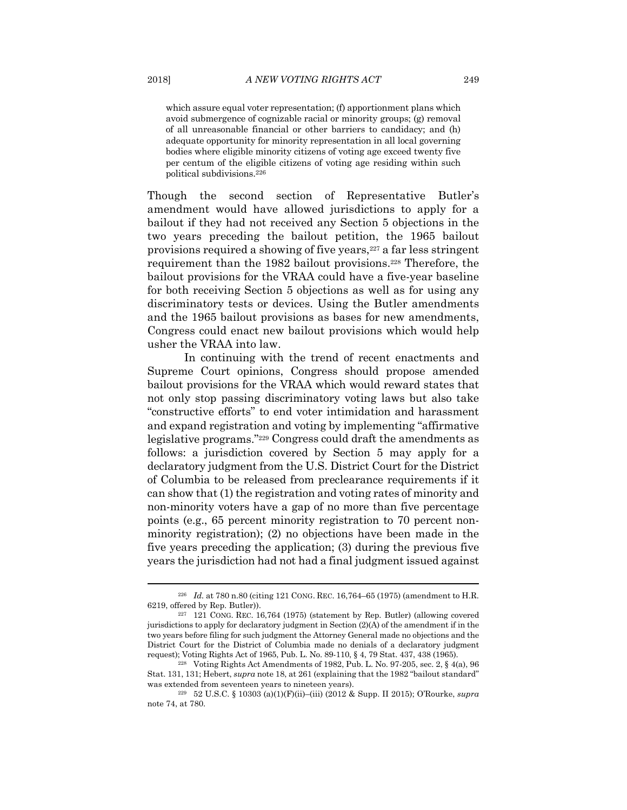which assure equal voter representation; (f) apportionment plans which avoid submergence of cognizable racial or minority groups; (g) removal of all unreasonable financial or other barriers to candidacy; and (h) adequate opportunity for minority representation in all local governing bodies where eligible minority citizens of voting age exceed twenty five per centum of the eligible citizens of voting age residing within such political subdivisions.226

Though the second section of Representative Butler's amendment would have allowed jurisdictions to apply for a bailout if they had not received any Section 5 objections in the two years preceding the bailout petition, the 1965 bailout provisions required a showing of five years,227 a far less stringent requirement than the 1982 bailout provisions.228 Therefore, the bailout provisions for the VRAA could have a five-year baseline for both receiving Section 5 objections as well as for using any discriminatory tests or devices. Using the Butler amendments and the 1965 bailout provisions as bases for new amendments, Congress could enact new bailout provisions which would help usher the VRAA into law.

In continuing with the trend of recent enactments and Supreme Court opinions, Congress should propose amended bailout provisions for the VRAA which would reward states that not only stop passing discriminatory voting laws but also take "constructive efforts" to end voter intimidation and harassment and expand registration and voting by implementing "affirmative legislative programs."229 Congress could draft the amendments as follows: a jurisdiction covered by Section 5 may apply for a declaratory judgment from the U.S. District Court for the District of Columbia to be released from preclearance requirements if it can show that (1) the registration and voting rates of minority and non-minority voters have a gap of no more than five percentage points (e.g., 65 percent minority registration to 70 percent nonminority registration); (2) no objections have been made in the five years preceding the application; (3) during the previous five years the jurisdiction had not had a final judgment issued against

<sup>226</sup> *Id.* at 780 n.80 (citing 121 CONG. REC. 16,764–65 (1975) (amendment to H.R. 6219, offered by Rep. Butler)). 227 121 CONG. REC. 16,764 (1975) (statement by Rep. Butler) (allowing covered

jurisdictions to apply for declaratory judgment in Section (2)(A) of the amendment if in the two years before filing for such judgment the Attorney General made no objections and the District Court for the District of Columbia made no denials of a declaratory judgment request); Voting Rights Act of 1965, Pub. L. No. 89-110, § 4, 79 Stat. 437, 438 (1965). 228 Voting Rights Act Amendments of 1982, Pub. L. No. 97-205, sec. 2, § 4(a), 96

Stat. 131, 131; Hebert, *supra* note 18, at 261 (explaining that the 1982 "bailout standard" was extended from seventeen years to nineteen years). 229 52 U.S.C. § 10303 (a)(1)(F)(ii)–(iii) (2012 & Supp. II 2015); O'Rourke, *supra* 

note 74, at 780.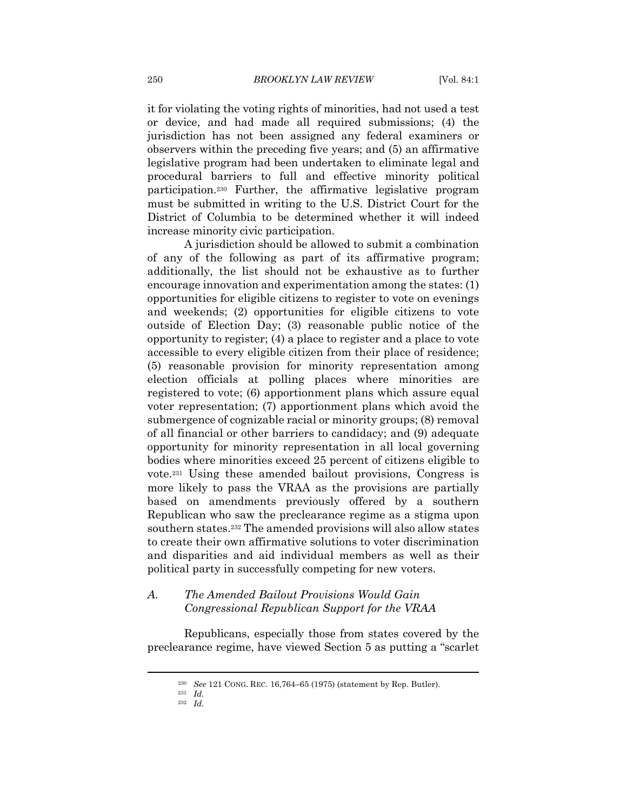it for violating the voting rights of minorities, had not used a test or device, and had made all required submissions; (4) the jurisdiction has not been assigned any federal examiners or observers within the preceding five years; and (5) an affirmative legislative program had been undertaken to eliminate legal and procedural barriers to full and effective minority political participation.230 Further, the affirmative legislative program must be submitted in writing to the U.S. District Court for the District of Columbia to be determined whether it will indeed increase minority civic participation.

A jurisdiction should be allowed to submit a combination of any of the following as part of its affirmative program; additionally, the list should not be exhaustive as to further encourage innovation and experimentation among the states: (1) opportunities for eligible citizens to register to vote on evenings and weekends; (2) opportunities for eligible citizens to vote outside of Election Day; (3) reasonable public notice of the opportunity to register; (4) a place to register and a place to vote accessible to every eligible citizen from their place of residence; (5) reasonable provision for minority representation among election officials at polling places where minorities are registered to vote; (6) apportionment plans which assure equal voter representation; (7) apportionment plans which avoid the submergence of cognizable racial or minority groups; (8) removal of all financial or other barriers to candidacy; and (9) adequate opportunity for minority representation in all local governing bodies where minorities exceed 25 percent of citizens eligible to vote.231 Using these amended bailout provisions, Congress is more likely to pass the VRAA as the provisions are partially based on amendments previously offered by a southern Republican who saw the preclearance regime as a stigma upon southern states.232 The amended provisions will also allow states to create their own affirmative solutions to voter discrimination and disparities and aid individual members as well as their political party in successfully competing for new voters.

#### *A. The Amended Bailout Provisions Would Gain Congressional Republican Support for the VRAA*

Republicans, especially those from states covered by the preclearance regime, have viewed Section 5 as putting a "scarlet

<sup>230</sup> *See* 121 CONG. REC. 16,764–65 (1975) (statement by Rep. Butler). 231 *Id.*

<sup>232</sup> *Id.*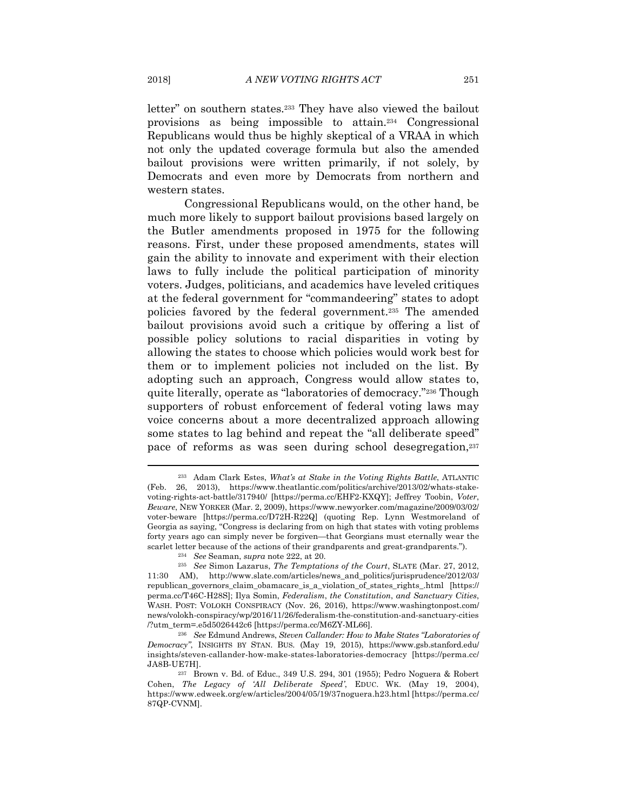letter" on southern states.233 They have also viewed the bailout provisions as being impossible to attain.234 Congressional Republicans would thus be highly skeptical of a VRAA in which not only the updated coverage formula but also the amended bailout provisions were written primarily, if not solely, by Democrats and even more by Democrats from northern and western states.

Congressional Republicans would, on the other hand, be much more likely to support bailout provisions based largely on the Butler amendments proposed in 1975 for the following reasons. First, under these proposed amendments, states will gain the ability to innovate and experiment with their election laws to fully include the political participation of minority voters. Judges, politicians, and academics have leveled critiques at the federal government for "commandeering" states to adopt policies favored by the federal government.235 The amended bailout provisions avoid such a critique by offering a list of possible policy solutions to racial disparities in voting by allowing the states to choose which policies would work best for them or to implement policies not included on the list. By adopting such an approach, Congress would allow states to, quite literally, operate as "laboratories of democracy."236 Though supporters of robust enforcement of federal voting laws may voice concerns about a more decentralized approach allowing some states to lag behind and repeat the "all deliberate speed" pace of reforms as was seen during school desegregation,237

<sup>233</sup> Adam Clark Estes, *What's at Stake in the Voting Rights Battle*, ATLANTIC (Feb. 26, 2013), https://www.theatlantic.com/politics/archive/2013/02/whats-stakevoting-rights-act-battle/317940/ [https://perma.cc/EHF2-KXQY]; Jeffrey Toobin, *Voter*, *Beware*, NEW YORKER (Mar. 2, 2009), https://www.newyorker.com/magazine/2009/03/02/ voter-beware [https://perma.cc/D72H-R22Q] (quoting Rep. Lynn Westmoreland of Georgia as saying, "Congress is declaring from on high that states with voting problems forty years ago can simply never be forgiven—that Georgians must eternally wear the scarlet letter because of the actions of their grandparents and great-grandparents.").<br><sup>234</sup> See Seaman, *supra* note 222, at 20.<br><sup>235</sup> See Simon Lazarus, *The Temptations of the Court*, SLATE (Mar. 27, 2012,

<sup>11:30</sup> AM), http://www.slate.com/articles/news\_and\_politics/jurisprudence/2012/03/ republican\_governors\_claim\_obamacare\_is\_a\_violation\_of\_states\_rights\_.html [https:// perma.cc/T46C-H28S]; Ilya Somin, *Federalism*, *the Constitution*, *and Sanctuary Cities*, WASH. POST: VOLOKH CONSPIRACY (Nov. 26, 2016), https://www.washingtonpost.com/ news/volokh-conspiracy/wp/2016/11/26/federalism-the-constitution-and-sanctuary-cities /?utm\_term=.e5d5026442c6 [https://perma.cc/M6ZY-ML66]. 236 *See* Edmund Andrews, *Steven Callander: How to Make States "Laboratories of* 

*Democracy"*, INSIGHTS BY STAN. BUS. (May 19, 2015), https://www.gsb.stanford.edu/ insights/steven-callander-how-make-states-laboratories-democracy [https://perma.cc/ JA8B-UE7H]. 237 Brown v. Bd. of Educ., 349 U.S. 294, 301 (1955); Pedro Noguera & Robert

Cohen, *The Legacy of 'All Deliberate Speed'*, EDUC. WK. (May 19, 2004), https://www.edweek.org/ew/articles/2004/05/19/37noguera.h23.html [https://perma.cc/ 87QP-CVNM].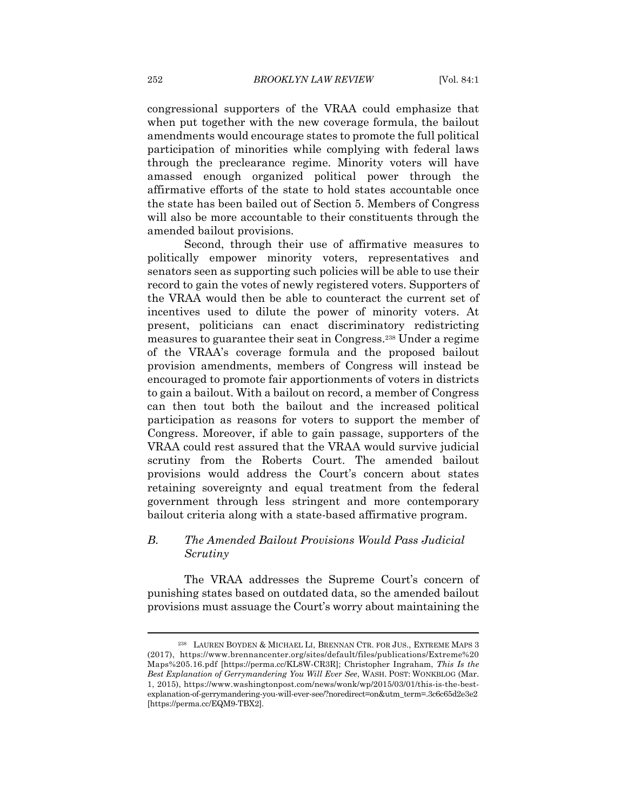congressional supporters of the VRAA could emphasize that when put together with the new coverage formula, the bailout amendments would encourage states to promote the full political participation of minorities while complying with federal laws through the preclearance regime. Minority voters will have amassed enough organized political power through the affirmative efforts of the state to hold states accountable once the state has been bailed out of Section 5. Members of Congress will also be more accountable to their constituents through the amended bailout provisions.

Second, through their use of affirmative measures to politically empower minority voters, representatives and senators seen as supporting such policies will be able to use their record to gain the votes of newly registered voters. Supporters of the VRAA would then be able to counteract the current set of incentives used to dilute the power of minority voters. At present, politicians can enact discriminatory redistricting measures to guarantee their seat in Congress.238 Under a regime of the VRAA's coverage formula and the proposed bailout provision amendments, members of Congress will instead be encouraged to promote fair apportionments of voters in districts to gain a bailout. With a bailout on record, a member of Congress can then tout both the bailout and the increased political participation as reasons for voters to support the member of Congress. Moreover, if able to gain passage, supporters of the VRAA could rest assured that the VRAA would survive judicial scrutiny from the Roberts Court. The amended bailout provisions would address the Court's concern about states retaining sovereignty and equal treatment from the federal government through less stringent and more contemporary bailout criteria along with a state-based affirmative program.

#### *B. The Amended Bailout Provisions Would Pass Judicial Scrutiny*

The VRAA addresses the Supreme Court's concern of punishing states based on outdated data, so the amended bailout provisions must assuage the Court's worry about maintaining the

<sup>238</sup> LAUREN BOYDEN & MICHAEL LI, BRENNAN CTR. FOR JUS., EXTREME MAPS 3 (2017), https://www.brennancenter.org/sites/default/files/publications/Extreme%20 Maps%205.16.pdf [https://perma.cc/KL8W-CR3R]; Christopher Ingraham, *This Is the Best Explanation of Gerrymandering You Will Ever See*, WASH. POST: WONKBLOG (Mar. 1, 2015), https://www.washingtonpost.com/news/wonk/wp/2015/03/01/this-is-the-bestexplanation-of-gerrymandering-you-will-ever-see/?noredirect=on&utm\_term=.3c6c65d2e3e2 [https://perma.cc/EQM9-TBX2].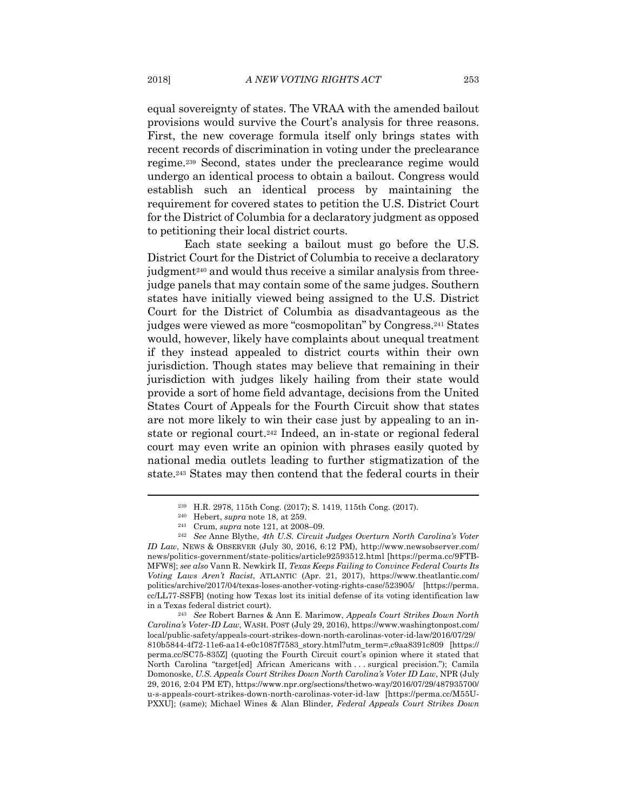equal sovereignty of states. The VRAA with the amended bailout provisions would survive the Court's analysis for three reasons. First, the new coverage formula itself only brings states with recent records of discrimination in voting under the preclearance regime.239 Second, states under the preclearance regime would undergo an identical process to obtain a bailout. Congress would establish such an identical process by maintaining the requirement for covered states to petition the U.S. District Court for the District of Columbia for a declaratory judgment as opposed to petitioning their local district courts.

Each state seeking a bailout must go before the U.S. District Court for the District of Columbia to receive a declaratory judgment<sup>240</sup> and would thus receive a similar analysis from threejudge panels that may contain some of the same judges. Southern states have initially viewed being assigned to the U.S. District Court for the District of Columbia as disadvantageous as the judges were viewed as more "cosmopolitan" by Congress.241 States would, however, likely have complaints about unequal treatment if they instead appealed to district courts within their own jurisdiction. Though states may believe that remaining in their jurisdiction with judges likely hailing from their state would provide a sort of home field advantage, decisions from the United States Court of Appeals for the Fourth Circuit show that states are not more likely to win their case just by appealing to an instate or regional court.242 Indeed, an in-state or regional federal court may even write an opinion with phrases easily quoted by national media outlets leading to further stigmatization of the state.243 States may then contend that the federal courts in their

<sup>&</sup>lt;sup>239</sup> H.R. 2978, 115th Cong. (2017); S. 1419, 115th Cong. (2017).<br>
<sup>240</sup> Hebert, *supra* note 18, at 259.<br>
<sup>241</sup> Crum, *supra* note 121, at 2008–09.<br>
<sup>242</sup> See Anne Blythe, *4th U.S. Circuit Judges Overturn North Carolina* 

*ID Law*, NEWS & OBSERVER (July 30, 2016, 6:12 PM), http://www.newsobserver.com/ news/politics-government/state-politics/article92593512.html [https://perma.cc/9FTB-MFW8]; *see also* Vann R. Newkirk II, *Texas Keeps Failing to Convince Federal Courts Its Voting Laws Aren't Racist*, ATLANTIC (Apr. 21, 2017), https://www.theatlantic.com/ politics/archive/2017/04/texas-loses-another-voting-rights-case/523905/ [https://perma. cc/LL77-SSFB] (noting how Texas lost its initial defense of its voting identification law in a Texas federal district court). 243 *See* Robert Barnes & Ann E. Marimow, *Appeals Court Strikes Down North* 

*Carolina's Voter-ID Law*, WASH. POST (July 29, 2016), https://www.washingtonpost.com/ local/public-safety/appeals-court-strikes-down-north-carolinas-voter-id-law/2016/07/29/ 810b5844-4f72-11e6-aa14-e0c1087f7583\_story.html?utm\_term=.c9aa8391c809 [https:// perma.cc/SC75-835Z] (quoting the Fourth Circuit court's opinion where it stated that North Carolina "target[ed] African Americans with . . . surgical precision."); Camila Domonoske, *U.S. Appeals Court Strikes Down North Carolina's Voter ID Law*, NPR (July 29, 2016, 2:04 PM ET), https://www.npr.org/sections/thetwo-way/2016/07/29/487935700/ u-s-appeals-court-strikes-down-north-carolinas-voter-id-law [https://perma.cc/M55U-PXXU]; (same); Michael Wines & Alan Blinder, *Federal Appeals Court Strikes Down*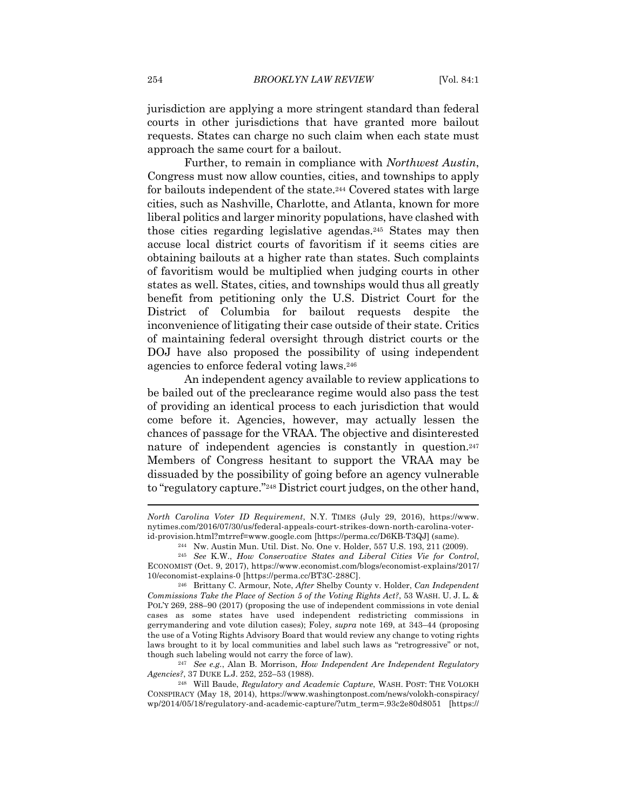jurisdiction are applying a more stringent standard than federal courts in other jurisdictions that have granted more bailout requests. States can charge no such claim when each state must approach the same court for a bailout.

Further, to remain in compliance with *Northwest Austin*, Congress must now allow counties, cities, and townships to apply for bailouts independent of the state.244 Covered states with large cities, such as Nashville, Charlotte, and Atlanta, known for more liberal politics and larger minority populations, have clashed with those cities regarding legislative agendas.245 States may then accuse local district courts of favoritism if it seems cities are obtaining bailouts at a higher rate than states. Such complaints of favoritism would be multiplied when judging courts in other states as well. States, cities, and townships would thus all greatly benefit from petitioning only the U.S. District Court for the District of Columbia for bailout requests despite the inconvenience of litigating their case outside of their state. Critics of maintaining federal oversight through district courts or the DOJ have also proposed the possibility of using independent agencies to enforce federal voting laws.246

An independent agency available to review applications to be bailed out of the preclearance regime would also pass the test of providing an identical process to each jurisdiction that would come before it. Agencies, however, may actually lessen the chances of passage for the VRAA. The objective and disinterested nature of independent agencies is constantly in question.<sup>247</sup> Members of Congress hesitant to support the VRAA may be dissuaded by the possibility of going before an agency vulnerable to "regulatory capture."248 District court judges, on the other hand,

*Agencies?*, 37 DUKE L.J. 252, 252–53 (1988). 248 Will Baude, *Regulatory and Academic Capture*, WASH. POST: THE VOLOKH

CONSPIRACY (May 18, 2014), https://www.washingtonpost.com/news/volokh-conspiracy/ wp/2014/05/18/regulatory-and-academic-capture/?utm\_term=.93c2e80d8051 [https://

*North Carolina Voter ID Requirement*, N.Y. TIMES (July 29, 2016), https://www. nytimes.com/2016/07/30/us/federal-appeals-court-strikes-down-north-carolina-voter-

id-provision.html?mtrref=www.google.com [https://perma.cc/D6KB-T3QJ] (same).<br><sup>244</sup> Nw. Austin Mun. Util. Dist. No. One v. Holder, 557 U.S. 193, 211 (2009).<br><sup>245</sup> See K.W., *How Conservative States and Liberal Cities Vie f* ECONOMIST (Oct. 9, 2017), https://www.economist.com/blogs/economist-explains/2017/ 10/economist-explains-0 [https://perma.cc/BT3C-288C]. 246 Brittany C. Armour, Note, *After* Shelby County v. Holder, *Can Independent* 

*Commissions Take the Place of Section 5 of the Voting Rights Act?*, 53 WASH. U. J. L. & POL'Y 269, 288–90 (2017) (proposing the use of independent commissions in vote denial cases as some states have used independent redistricting commissions in gerrymandering and vote dilution cases); Foley, *supra* note 169, at 343–44 (proposing the use of a Voting Rights Advisory Board that would review any change to voting rights laws brought to it by local communities and label such laws as "retrogressive" or not, though such labeling would not carry the force of law). 247 *See e.g.*, Alan B. Morrison, *How Independent Are Independent Regulatory*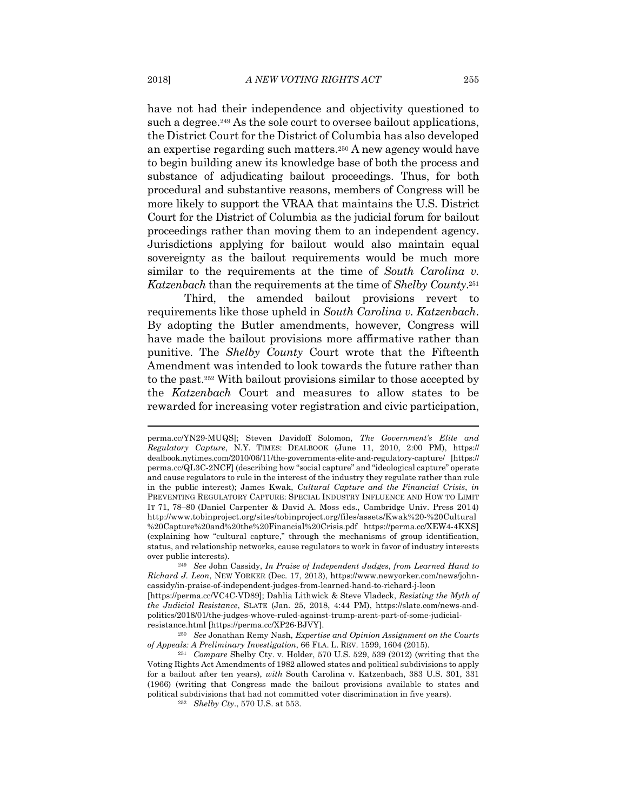have not had their independence and objectivity questioned to such a degree.<sup>249</sup> As the sole court to oversee bailout applications, the District Court for the District of Columbia has also developed an expertise regarding such matters.250 A new agency would have to begin building anew its knowledge base of both the process and substance of adjudicating bailout proceedings. Thus, for both procedural and substantive reasons, members of Congress will be more likely to support the VRAA that maintains the U.S. District Court for the District of Columbia as the judicial forum for bailout proceedings rather than moving them to an independent agency. Jurisdictions applying for bailout would also maintain equal sovereignty as the bailout requirements would be much more similar to the requirements at the time of *South Carolina v. Katzenbach* than the requirements at the time of *Shelby County*.251

Third, the amended bailout provisions revert to requirements like those upheld in *South Carolina v. Katzenbach*. By adopting the Butler amendments, however, Congress will have made the bailout provisions more affirmative rather than punitive. The *Shelby County* Court wrote that the Fifteenth Amendment was intended to look towards the future rather than to the past.252 With bailout provisions similar to those accepted by the *Katzenbach* Court and measures to allow states to be rewarded for increasing voter registration and civic participation,

perma.cc/YN29-MUQS]; Steven Davidoff Solomon, *The Government's Elite and Regulatory Capture*, N.Y. TIMES: DEALBOOK (June 11, 2010, 2:00 PM), https:// dealbook.nytimes.com/2010/06/11/the-governments-elite-and-regulatory-capture/ [https:// perma.cc/QL3C-2NCF] (describing how "social capture" and "ideological capture" operate and cause regulators to rule in the interest of the industry they regulate rather than rule in the public interest); James Kwak, *Cultural Capture and the Financial Crisis*, *in*  PREVENTING REGULATORY CAPTURE: SPECIAL INDUSTRY INFLUENCE AND HOW TO LIMIT IT 71, 78–80 (Daniel Carpenter & David A. Moss eds., Cambridge Univ. Press 2014) http://www.tobinproject.org/sites/tobinproject.org/files/assets/Kwak%20-%20Cultural %20Capture%20and%20the%20Financial%20Crisis.pdf https://perma.cc/XEW4-4KXS] (explaining how "cultural capture," through the mechanisms of group identification, status, and relationship networks, cause regulators to work in favor of industry interests over public interests). 249 *See* John Cassidy, *In Praise of Independent Judges*, *from Learned Hand to* 

*Richard J. Leon*, NEW YORKER (Dec. 17, 2013), https://www.newyorker.com/news/johncassidy/in-praise-of-independent-judges-from-learned-hand-to-richard-j-leon

<sup>[</sup>https://perma.cc/VC4C-VD89]; Dahlia Lithwick & Steve Vladeck, *Resisting the Myth of the Judicial Resistance*, SLATE (Jan. 25, 2018, 4:44 PM), https://slate.com/news-andpolitics/2018/01/the-judges-whove-ruled-against-trump-arent-part-of-some-judicialresistance.html [https://perma.cc/XP26-BJVY]. 250 *See* Jonathan Remy Nash, *Expertise and Opinion Assignment on the Courts* 

*of Appeals: A Preliminary Investigation*, 66 FLA. L. REV. 1599, 1604 (2015). 251 *Compare* Shelby Cty. v. Holder, 570 U.S. 529, 539 (2012) (writing that the

Voting Rights Act Amendments of 1982 allowed states and political subdivisions to apply for a bailout after ten years), *with* South Carolina v. Katzenbach, 383 U.S. 301, 331 (1966) (writing that Congress made the bailout provisions available to states and political subdivisions that had not committed voter discrimination in five years). 252 *Shelby Cty*., 570 U.S. at 553.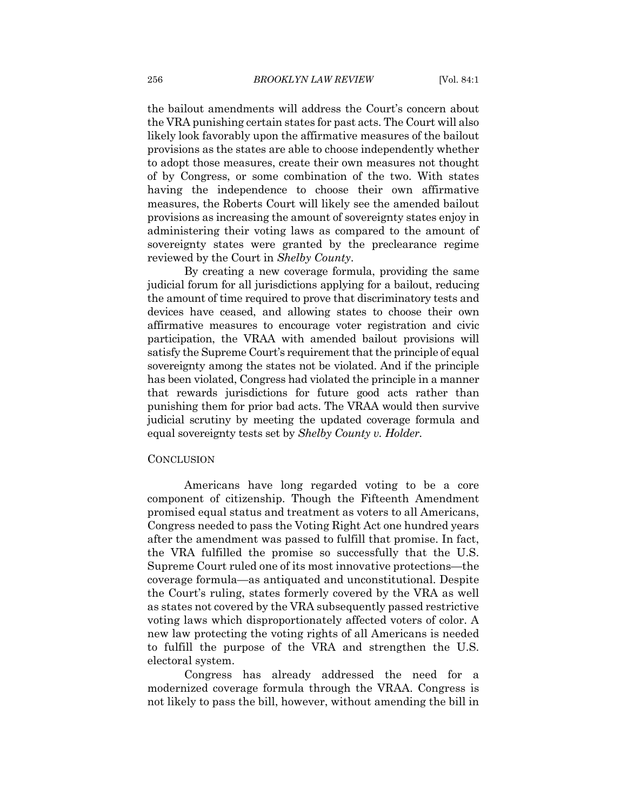the bailout amendments will address the Court's concern about the VRA punishing certain states for past acts. The Court will also likely look favorably upon the affirmative measures of the bailout provisions as the states are able to choose independently whether to adopt those measures, create their own measures not thought of by Congress, or some combination of the two. With states having the independence to choose their own affirmative measures, the Roberts Court will likely see the amended bailout provisions as increasing the amount of sovereignty states enjoy in administering their voting laws as compared to the amount of sovereignty states were granted by the preclearance regime reviewed by the Court in *Shelby County*.

By creating a new coverage formula, providing the same judicial forum for all jurisdictions applying for a bailout, reducing the amount of time required to prove that discriminatory tests and devices have ceased, and allowing states to choose their own affirmative measures to encourage voter registration and civic participation, the VRAA with amended bailout provisions will satisfy the Supreme Court's requirement that the principle of equal sovereignty among the states not be violated. And if the principle has been violated, Congress had violated the principle in a manner that rewards jurisdictions for future good acts rather than punishing them for prior bad acts. The VRAA would then survive judicial scrutiny by meeting the updated coverage formula and equal sovereignty tests set by *Shelby County v. Holder*.

#### **CONCLUSION**

Americans have long regarded voting to be a core component of citizenship. Though the Fifteenth Amendment promised equal status and treatment as voters to all Americans, Congress needed to pass the Voting Right Act one hundred years after the amendment was passed to fulfill that promise. In fact, the VRA fulfilled the promise so successfully that the U.S. Supreme Court ruled one of its most innovative protections—the coverage formula—as antiquated and unconstitutional. Despite the Court's ruling, states formerly covered by the VRA as well as states not covered by the VRA subsequently passed restrictive voting laws which disproportionately affected voters of color. A new law protecting the voting rights of all Americans is needed to fulfill the purpose of the VRA and strengthen the U.S. electoral system.

Congress has already addressed the need for a modernized coverage formula through the VRAA. Congress is not likely to pass the bill, however, without amending the bill in